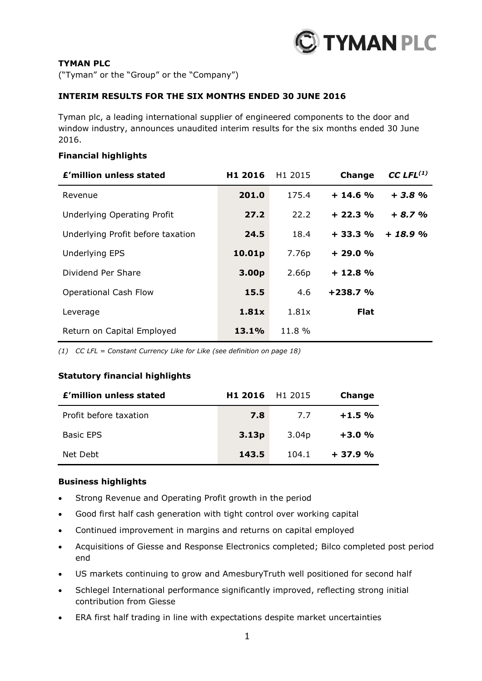

# **TYMAN PLC**

("Tyman" or the "Group" or the "Company")

## **INTERIM RESULTS FOR THE SIX MONTHS ENDED 30 JUNE 2016**

Tyman plc, a leading international supplier of engineered components to the door and window industry, announces unaudited interim results for the six months ended 30 June 2016.

#### **Financial highlights**

| £'million unless stated            | H1 2016           | H1 2015 | Change      | CC LFL $(1)$ |
|------------------------------------|-------------------|---------|-------------|--------------|
| Revenue                            | 201.0             | 175.4   | $+14.6%$    | $+3.8%$      |
| <b>Underlying Operating Profit</b> | 27.2              | 22.2    | $+22.3%$    | $+8.7%$      |
| Underlying Profit before taxation  | 24.5              | 18.4    | $+33.3%$    | $+18.9%$     |
| <b>Underlying EPS</b>              | 10.01p            | 7.76p   | $+29.0%$    |              |
| Dividend Per Share                 | 3.00 <sub>p</sub> | 2.66p   | $+12.8%$    |              |
| <b>Operational Cash Flow</b>       | 15.5              | 4.6     | $+238.7%$   |              |
| Leverage                           | 1.81x             | 1.81x   | <b>Flat</b> |              |
| Return on Capital Employed         | 13.1%             | 11.8 %  |             |              |

*(1) CC LFL = Constant Currency Like for Like (see definition on page 18)*

#### **Statutory financial highlights**

| <b>£'million unless stated</b> | H <sub>1</sub> 2016 | H1 2015 | Change   |
|--------------------------------|---------------------|---------|----------|
| Profit before taxation         | 7.8                 | 7.7     | $+1.5%$  |
| <b>Basic EPS</b>               | 3.13p               | 3.04p   | $+3.0%$  |
| Net Debt                       | 143.5               | 104.1   | $+37.9%$ |

#### **Business highlights**

- Strong Revenue and Operating Profit growth in the period
- Good first half cash generation with tight control over working capital
- Continued improvement in margins and returns on capital employed
- Acquisitions of Giesse and Response Electronics completed; Bilco completed post period end
- US markets continuing to grow and AmesburyTruth well positioned for second half
- Schlegel International performance significantly improved, reflecting strong initial contribution from Giesse
- ERA first half trading in line with expectations despite market uncertainties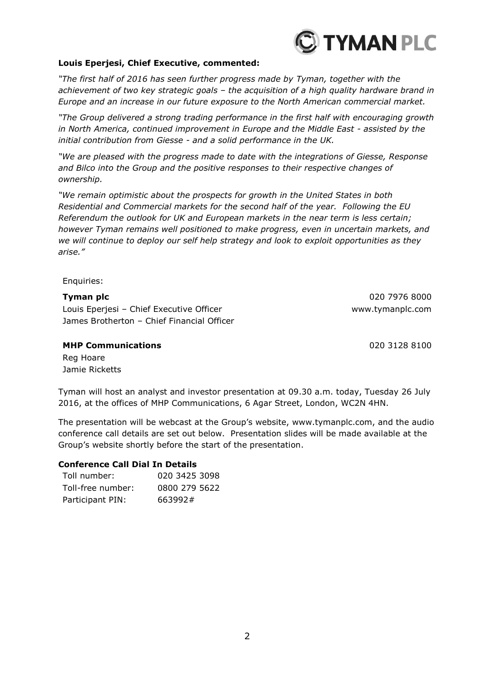

#### **Louis Eperjesi, Chief Executive, commented:**

*"The first half of 2016 has seen further progress made by Tyman, together with the achievement of two key strategic goals – the acquisition of a high quality hardware brand in Europe and an increase in our future exposure to the North American commercial market.*

*"The Group delivered a strong trading performance in the first half with encouraging growth in North America, continued improvement in Europe and the Middle East - assisted by the initial contribution from Giesse - and a solid performance in the UK.*

*"We are pleased with the progress made to date with the integrations of Giesse, Response and Bilco into the Group and the positive responses to their respective changes of ownership.*

*"We remain optimistic about the prospects for growth in the United States in both Residential and Commercial markets for the second half of the year. Following the EU Referendum the outlook for UK and European markets in the near term is less certain; however Tyman remains well positioned to make progress, even in uncertain markets, and we will continue to deploy our self help strategy and look to exploit opportunities as they arise."*

Enquiries:

#### **Tyman plc** 020 7976 8000

Louis Eperjesi – Chief Executive Officer www.tymanplc.com James Brotherton – Chief Financial Officer

#### **MHP Communications** 020 3128 8100

Reg Hoare Jamie Ricketts

Tyman will host an analyst and investor presentation at 09.30 a.m. today, Tuesday 26 July 2016, at the offices of MHP Communications, 6 Agar Street, London, WC2N 4HN.

The presentation will be webcast at the Group's website, www.tymanplc.com, and the audio conference call details are set out below. Presentation slides will be made available at the Group's website shortly before the start of the presentation.

#### **Conference Call Dial In Details**

| Toll number:      | 020 3425 3098 |
|-------------------|---------------|
| Toll-free number: | 0800 279 5622 |
| Participant PIN:  | 663992#       |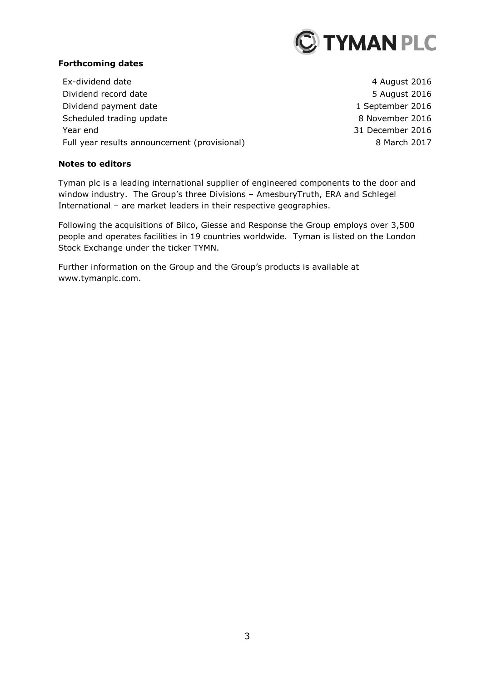

#### **Forthcoming dates**

Ex-dividend date 4 August 2016 Dividend record date 5 August 2016 Dividend payment date 1 November 2016 Scheduled trading update 8 November 2016 Year end 31 December 2016 Full year results announcement (provisional) 8 March 2017

#### **Notes to editors**

Tyman plc is a leading international supplier of engineered components to the door and window industry. The Group's three Divisions – AmesburyTruth, ERA and Schlegel International – are market leaders in their respective geographies.

Following the acquisitions of Bilco, Giesse and Response the Group employs over 3,500 people and operates facilities in 19 countries worldwide. Tyman is listed on the London Stock Exchange under the ticker TYMN.

Further information on the Group and the Group's products is available at www.tymanplc.com.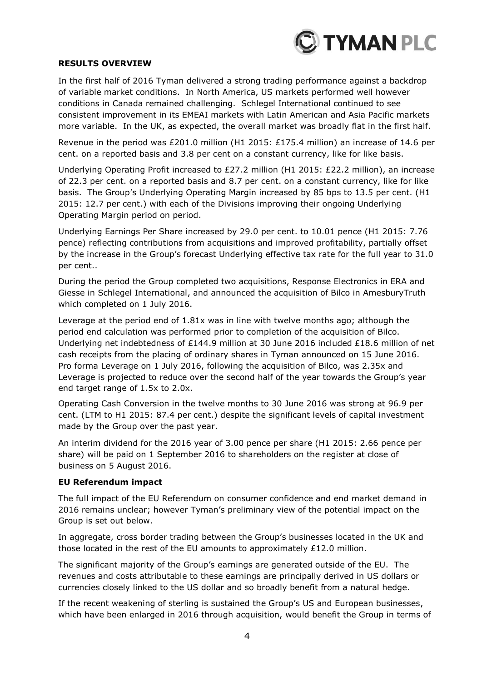

#### **RESULTS OVERVIEW**

In the first half of 2016 Tyman delivered a strong trading performance against a backdrop of variable market conditions. In North America, US markets performed well however conditions in Canada remained challenging. Schlegel International continued to see consistent improvement in its EMEAI markets with Latin American and Asia Pacific markets more variable. In the UK, as expected, the overall market was broadly flat in the first half.

Revenue in the period was £201.0 million (H1 2015: £175.4 million) an increase of 14.6 per cent. on a reported basis and 3.8 per cent on a constant currency, like for like basis.

Underlying Operating Profit increased to £27.2 million (H1 2015: £22.2 million), an increase of 22.3 per cent. on a reported basis and 8.7 per cent. on a constant currency, like for like basis. The Group's Underlying Operating Margin increased by 85 bps to 13.5 per cent. (H1 2015: 12.7 per cent.) with each of the Divisions improving their ongoing Underlying Operating Margin period on period.

Underlying Earnings Per Share increased by 29.0 per cent. to 10.01 pence (H1 2015: 7.76 pence) reflecting contributions from acquisitions and improved profitability, partially offset by the increase in the Group's forecast Underlying effective tax rate for the full year to 31.0 per cent..

During the period the Group completed two acquisitions, Response Electronics in ERA and Giesse in Schlegel International, and announced the acquisition of Bilco in AmesburyTruth which completed on 1 July 2016.

Leverage at the period end of 1.81x was in line with twelve months ago; although the period end calculation was performed prior to completion of the acquisition of Bilco. Underlying net indebtedness of £144.9 million at 30 June 2016 included £18.6 million of net cash receipts from the placing of ordinary shares in Tyman announced on 15 June 2016. Pro forma Leverage on 1 July 2016, following the acquisition of Bilco, was 2.35x and Leverage is projected to reduce over the second half of the year towards the Group's year end target range of 1.5x to 2.0x.

Operating Cash Conversion in the twelve months to 30 June 2016 was strong at 96.9 per cent. (LTM to H1 2015: 87.4 per cent.) despite the significant levels of capital investment made by the Group over the past year.

An interim dividend for the 2016 year of 3.00 pence per share (H1 2015: 2.66 pence per share) will be paid on 1 September 2016 to shareholders on the register at close of business on 5 August 2016.

#### **EU Referendum impact**

The full impact of the EU Referendum on consumer confidence and end market demand in 2016 remains unclear; however Tyman's preliminary view of the potential impact on the Group is set out below.

In aggregate, cross border trading between the Group's businesses located in the UK and those located in the rest of the EU amounts to approximately  $£12.0$  million.

The significant majority of the Group's earnings are generated outside of the EU. The revenues and costs attributable to these earnings are principally derived in US dollars or currencies closely linked to the US dollar and so broadly benefit from a natural hedge.

If the recent weakening of sterling is sustained the Group's US and European businesses, which have been enlarged in 2016 through acquisition, would benefit the Group in terms of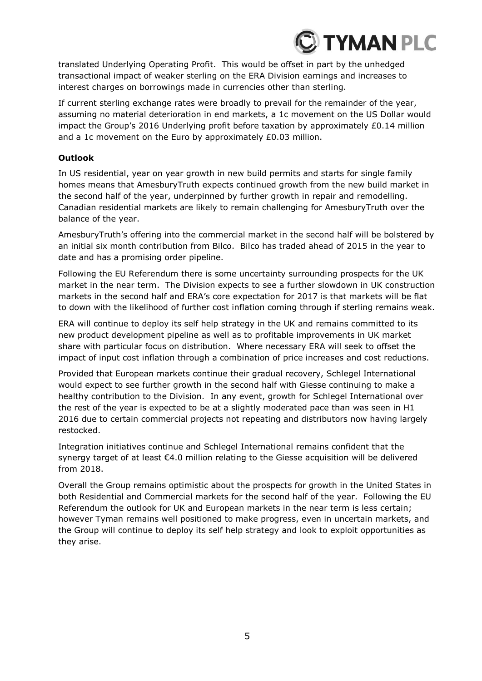# **TYMAN PLC**

translated Underlying Operating Profit. This would be offset in part by the unhedged transactional impact of weaker sterling on the ERA Division earnings and increases to interest charges on borrowings made in currencies other than sterling.

If current sterling exchange rates were broadly to prevail for the remainder of the year, assuming no material deterioration in end markets, a 1c movement on the US Dollar would impact the Group's 2016 Underlying profit before taxation by approximately £0.14 million and a 1c movement on the Euro by approximately £0.03 million.

## **Outlook**

In US residential, year on year growth in new build permits and starts for single family homes means that AmesburyTruth expects continued growth from the new build market in the second half of the year, underpinned by further growth in repair and remodelling. Canadian residential markets are likely to remain challenging for AmesburyTruth over the balance of the year.

AmesburyTruth's offering into the commercial market in the second half will be bolstered by an initial six month contribution from Bilco. Bilco has traded ahead of 2015 in the year to date and has a promising order pipeline.

Following the EU Referendum there is some uncertainty surrounding prospects for the UK market in the near term. The Division expects to see a further slowdown in UK construction markets in the second half and ERA's core expectation for 2017 is that markets will be flat to down with the likelihood of further cost inflation coming through if sterling remains weak.

ERA will continue to deploy its self help strategy in the UK and remains committed to its new product development pipeline as well as to profitable improvements in UK market share with particular focus on distribution. Where necessary ERA will seek to offset the impact of input cost inflation through a combination of price increases and cost reductions.

Provided that European markets continue their gradual recovery, Schlegel International would expect to see further growth in the second half with Giesse continuing to make a healthy contribution to the Division. In any event, growth for Schlegel International over the rest of the year is expected to be at a slightly moderated pace than was seen in H1 2016 due to certain commercial projects not repeating and distributors now having largely restocked.

Integration initiatives continue and Schlegel International remains confident that the synergy target of at least €4.0 million relating to the Giesse acquisition will be delivered from 2018.

Overall the Group remains optimistic about the prospects for growth in the United States in both Residential and Commercial markets for the second half of the year. Following the EU Referendum the outlook for UK and European markets in the near term is less certain; however Tyman remains well positioned to make progress, even in uncertain markets, and the Group will continue to deploy its self help strategy and look to exploit opportunities as they arise.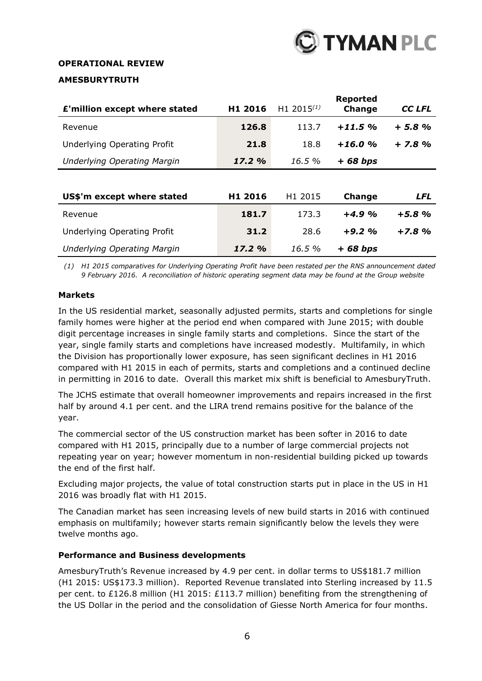

#### **OPERATIONAL REVIEW**

#### **AMESBURYTRUTH**

| <b>£'million except where stated</b> | H <sub>1</sub> 2016 | H1 2015 $(1)$ | Reported<br><b>Change</b> | <b>CC LFL</b> |
|--------------------------------------|---------------------|---------------|---------------------------|---------------|
| Revenue                              | 126.8               | 113.7         | $+11.5%$                  | $+5.8%$       |
| Underlying Operating Profit          | 21.8                | 18.8          | $+16.0%$                  | $+7.8%$       |
| <b>Underlying Operating Margin</b>   | 17.2%               | 16.5%         | $+68$ bps                 |               |
|                                      |                     |               |                           |               |
| US\$'m except where stated           | H1 2016             | H1 2015       | <b>Change</b>             | <b>LFL</b>    |
| Revenue                              | 181.7               | 173.3         | $+4.9%$                   | $+5.8%$       |
| <b>Underlying Operating Profit</b>   | 31.2                | 28.6          | $+9.2%$                   | $+7.8%$       |
| <b>Underlying Operating Margin</b>   | 17.2%               | 16.5%         | $+68$ bps                 |               |

*(1) H1 2015 comparatives for Underlying Operating Profit have been restated per the RNS announcement dated 9 February 2016. A reconciliation of historic operating segment data may be found at the Group website*

#### **Markets**

In the US residential market, seasonally adjusted permits, starts and completions for single family homes were higher at the period end when compared with June 2015; with double digit percentage increases in single family starts and completions. Since the start of the year, single family starts and completions have increased modestly. Multifamily, in which the Division has proportionally lower exposure, has seen significant declines in H1 2016 compared with H1 2015 in each of permits, starts and completions and a continued decline in permitting in 2016 to date. Overall this market mix shift is beneficial to AmesburyTruth.

The JCHS estimate that overall homeowner improvements and repairs increased in the first half by around 4.1 per cent. and the LIRA trend remains positive for the balance of the year.

The commercial sector of the US construction market has been softer in 2016 to date compared with H1 2015, principally due to a number of large commercial projects not repeating year on year; however momentum in non-residential building picked up towards the end of the first half.

Excluding major projects, the value of total construction starts put in place in the US in H1 2016 was broadly flat with H1 2015.

The Canadian market has seen increasing levels of new build starts in 2016 with continued emphasis on multifamily; however starts remain significantly below the levels they were twelve months ago.

#### **Performance and Business developments**

AmesburyTruth's Revenue increased by 4.9 per cent. in dollar terms to US\$181.7 million (H1 2015: US\$173.3 million). Reported Revenue translated into Sterling increased by 11.5 per cent. to £126.8 million (H1 2015: £113.7 million) benefiting from the strengthening of the US Dollar in the period and the consolidation of Giesse North America for four months.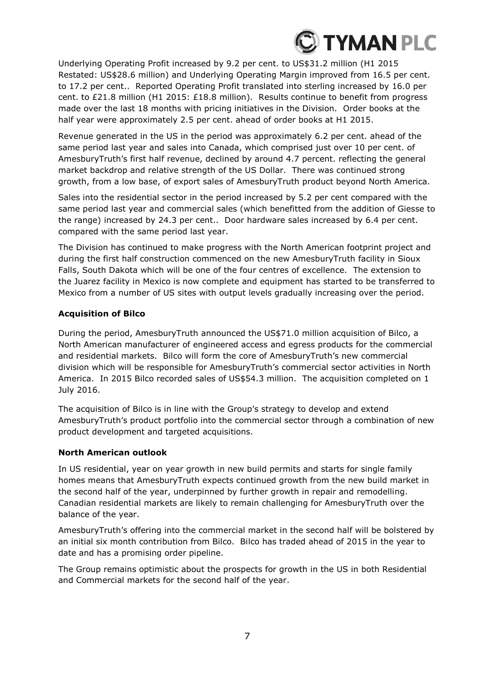# **YMAN PLC**

Underlying Operating Profit increased by 9.2 per cent. to US\$31.2 million (H1 2015 Restated: US\$28.6 million) and Underlying Operating Margin improved from 16.5 per cent. to 17.2 per cent.. Reported Operating Profit translated into sterling increased by 16.0 per cent. to £21.8 million (H1 2015: £18.8 million). Results continue to benefit from progress made over the last 18 months with pricing initiatives in the Division. Order books at the half year were approximately 2.5 per cent. ahead of order books at H1 2015.

Revenue generated in the US in the period was approximately 6.2 per cent. ahead of the same period last year and sales into Canada, which comprised just over 10 per cent. of AmesburyTruth's first half revenue, declined by around 4.7 percent. reflecting the general market backdrop and relative strength of the US Dollar. There was continued strong growth, from a low base, of export sales of AmesburyTruth product beyond North America.

Sales into the residential sector in the period increased by 5.2 per cent compared with the same period last year and commercial sales (which benefitted from the addition of Giesse to the range) increased by 24.3 per cent.. Door hardware sales increased by 6.4 per cent. compared with the same period last year.

The Division has continued to make progress with the North American footprint project and during the first half construction commenced on the new AmesburyTruth facility in Sioux Falls, South Dakota which will be one of the four centres of excellence. The extension to the Juarez facility in Mexico is now complete and equipment has started to be transferred to Mexico from a number of US sites with output levels gradually increasing over the period.

# **Acquisition of Bilco**

During the period, AmesburyTruth announced the US\$71.0 million acquisition of Bilco, a North American manufacturer of engineered access and egress products for the commercial and residential markets. Bilco will form the core of AmesburyTruth's new commercial division which will be responsible for AmesburyTruth's commercial sector activities in North America. In 2015 Bilco recorded sales of US\$54.3 million. The acquisition completed on 1 July 2016.

The acquisition of Bilco is in line with the Group's strategy to develop and extend AmesburyTruth's product portfolio into the commercial sector through a combination of new product development and targeted acquisitions.

# **North American outlook**

In US residential, year on year growth in new build permits and starts for single family homes means that AmesburyTruth expects continued growth from the new build market in the second half of the year, underpinned by further growth in repair and remodelling. Canadian residential markets are likely to remain challenging for AmesburyTruth over the balance of the year.

AmesburyTruth's offering into the commercial market in the second half will be bolstered by an initial six month contribution from Bilco. Bilco has traded ahead of 2015 in the year to date and has a promising order pipeline.

The Group remains optimistic about the prospects for growth in the US in both Residential and Commercial markets for the second half of the year.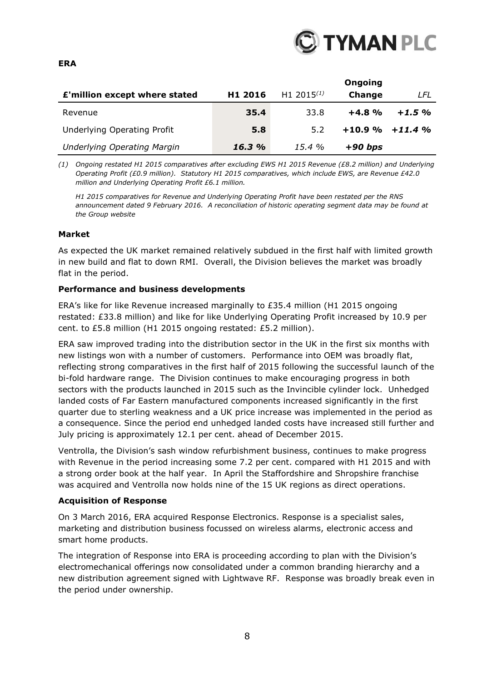

|                                      |         |                                    | Ongoing             |         |
|--------------------------------------|---------|------------------------------------|---------------------|---------|
| <b>£'million except where stated</b> | H1 2016 | H <sub>1</sub> 2015 <sup>(1)</sup> | Change              | LFL     |
| Revenue                              | 35.4    | 33.8                               | $+4.8%$             | $+1.5%$ |
| Underlying Operating Profit          | 5.8     | 5.2                                | $+10.9\%$ $+11.4\%$ |         |
| <b>Underlying Operating Margin</b>   | 16.3 %  | $15.4\%$                           | $+90 bps$           |         |

*(1) Ongoing restated H1 2015 comparatives after excluding EWS H1 2015 Revenue (£8.2 million) and Underlying Operating Profit (£0.9 million). Statutory H1 2015 comparatives, which include EWS, are Revenue £42.0 million and Underlying Operating Profit £6.1 million.*

*H1 2015 comparatives for Revenue and Underlying Operating Profit have been restated per the RNS announcement dated 9 February 2016. A reconciliation of historic operating segment data may be found at the Group website*

#### **Market**

As expected the UK market remained relatively subdued in the first half with limited growth in new build and flat to down RMI. Overall, the Division believes the market was broadly flat in the period.

#### **Performance and business developments**

ERA's like for like Revenue increased marginally to £35.4 million (H1 2015 ongoing restated: £33.8 million) and like for like Underlying Operating Profit increased by 10.9 per cent. to £5.8 million (H1 2015 ongoing restated: £5.2 million).

ERA saw improved trading into the distribution sector in the UK in the first six months with new listings won with a number of customers. Performance into OEM was broadly flat, reflecting strong comparatives in the first half of 2015 following the successful launch of the bi-fold hardware range. The Division continues to make encouraging progress in both sectors with the products launched in 2015 such as the Invincible cylinder lock. Unhedged landed costs of Far Eastern manufactured components increased significantly in the first quarter due to sterling weakness and a UK price increase was implemented in the period as a consequence. Since the period end unhedged landed costs have increased still further and July pricing is approximately 12.1 per cent. ahead of December 2015.

Ventrolla, the Division's sash window refurbishment business, continues to make progress with Revenue in the period increasing some 7.2 per cent. compared with H1 2015 and with a strong order book at the half year. In April the Staffordshire and Shropshire franchise was acquired and Ventrolla now holds nine of the 15 UK regions as direct operations.

#### **Acquisition of Response**

On 3 March 2016, ERA acquired Response Electronics. Response is a specialist sales, marketing and distribution business focussed on wireless alarms, electronic access and smart home products.

The integration of Response into ERA is proceeding according to plan with the Division's electromechanical offerings now consolidated under a common branding hierarchy and a new distribution agreement signed with Lightwave RF. Response was broadly break even in the period under ownership.

#### **ERA**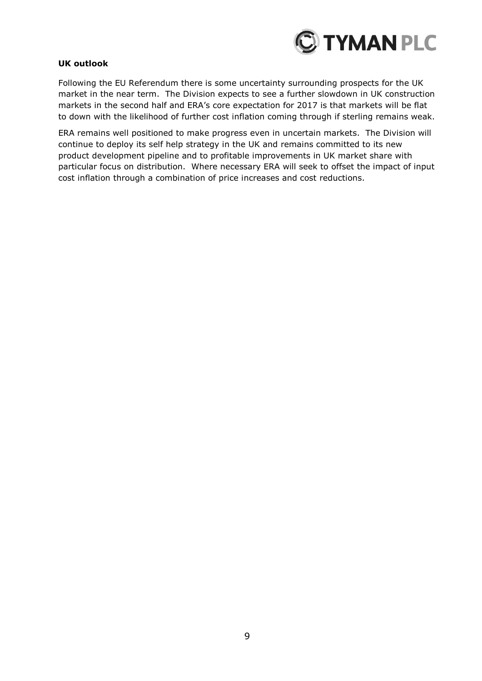

#### **UK outlook**

Following the EU Referendum there is some uncertainty surrounding prospects for the UK market in the near term. The Division expects to see a further slowdown in UK construction markets in the second half and ERA's core expectation for 2017 is that markets will be flat to down with the likelihood of further cost inflation coming through if sterling remains weak.

ERA remains well positioned to make progress even in uncertain markets. The Division will continue to deploy its self help strategy in the UK and remains committed to its new product development pipeline and to profitable improvements in UK market share with particular focus on distribution. Where necessary ERA will seek to offset the impact of input cost inflation through a combination of price increases and cost reductions.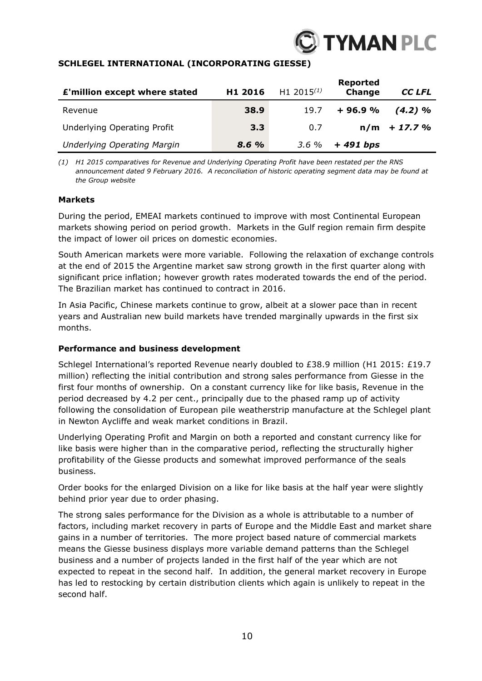

## **SCHLEGEL INTERNATIONAL (INCORPORATING GIESSE)**

| <b>£'million except where stated</b> | H1 2016 | H <sub>1</sub> 2015 <sup>(1)</sup> | <b>Reported</b><br><b>Change</b> | <b>CC LFL</b>  |
|--------------------------------------|---------|------------------------------------|----------------------------------|----------------|
| Revenue                              | 38.9    | 19.7                               | $+96.9%$                         | $(4.2)$ %      |
| <b>Underlying Operating Profit</b>   | 3.3     | 0.7                                |                                  | $n/m + 17.7\%$ |
| <b>Underlying Operating Margin</b>   | 8.6%    | 3.6 %                              | +491 bps                         |                |

*(1) H1 2015 comparatives for Revenue and Underlying Operating Profit have been restated per the RNS announcement dated 9 February 2016. A reconciliation of historic operating segment data may be found at the Group website*

#### **Markets**

During the period, EMEAI markets continued to improve with most Continental European markets showing period on period growth. Markets in the Gulf region remain firm despite the impact of lower oil prices on domestic economies.

South American markets were more variable. Following the relaxation of exchange controls at the end of 2015 the Argentine market saw strong growth in the first quarter along with significant price inflation; however growth rates moderated towards the end of the period. The Brazilian market has continued to contract in 2016.

In Asia Pacific, Chinese markets continue to grow, albeit at a slower pace than in recent years and Australian new build markets have trended marginally upwards in the first six months.

#### **Performance and business development**

Schlegel International's reported Revenue nearly doubled to £38.9 million (H1 2015: £19.7 million) reflecting the initial contribution and strong sales performance from Giesse in the first four months of ownership. On a constant currency like for like basis, Revenue in the period decreased by 4.2 per cent., principally due to the phased ramp up of activity following the consolidation of European pile weatherstrip manufacture at the Schlegel plant in Newton Aycliffe and weak market conditions in Brazil.

Underlying Operating Profit and Margin on both a reported and constant currency like for like basis were higher than in the comparative period, reflecting the structurally higher profitability of the Giesse products and somewhat improved performance of the seals business.

Order books for the enlarged Division on a like for like basis at the half year were slightly behind prior year due to order phasing.

The strong sales performance for the Division as a whole is attributable to a number of factors, including market recovery in parts of Europe and the Middle East and market share gains in a number of territories. The more project based nature of commercial markets means the Giesse business displays more variable demand patterns than the Schlegel business and a number of projects landed in the first half of the year which are not expected to repeat in the second half. In addition, the general market recovery in Europe has led to restocking by certain distribution clients which again is unlikely to repeat in the second half.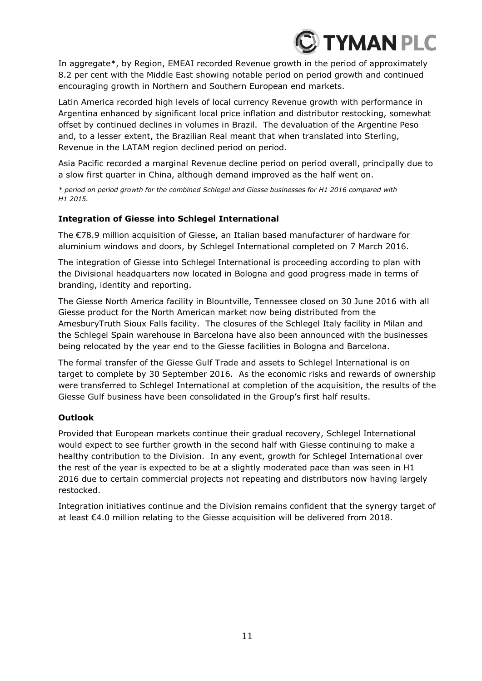# **YMAN PLC**

In aggregate\*, by Region, EMEAI recorded Revenue growth in the period of approximately 8.2 per cent with the Middle East showing notable period on period growth and continued encouraging growth in Northern and Southern European end markets.

Latin America recorded high levels of local currency Revenue growth with performance in Argentina enhanced by significant local price inflation and distributor restocking, somewhat offset by continued declines in volumes in Brazil. The devaluation of the Argentine Peso and, to a lesser extent, the Brazilian Real meant that when translated into Sterling, Revenue in the LATAM region declined period on period.

Asia Pacific recorded a marginal Revenue decline period on period overall, principally due to a slow first quarter in China, although demand improved as the half went on.

*\* period on period growth for the combined Schlegel and Giesse businesses for H1 2016 compared with H1 2015.*

# **Integration of Giesse into Schlegel International**

The €78.9 million acquisition of Giesse, an Italian based manufacturer of hardware for aluminium windows and doors, by Schlegel International completed on 7 March 2016.

The integration of Giesse into Schlegel International is proceeding according to plan with the Divisional headquarters now located in Bologna and good progress made in terms of branding, identity and reporting.

The Giesse North America facility in Blountville, Tennessee closed on 30 June 2016 with all Giesse product for the North American market now being distributed from the AmesburyTruth Sioux Falls facility. The closures of the Schlegel Italy facility in Milan and the Schlegel Spain warehouse in Barcelona have also been announced with the businesses being relocated by the year end to the Giesse facilities in Bologna and Barcelona.

The formal transfer of the Giesse Gulf Trade and assets to Schlegel International is on target to complete by 30 September 2016. As the economic risks and rewards of ownership were transferred to Schlegel International at completion of the acquisition, the results of the Giesse Gulf business have been consolidated in the Group's first half results.

# **Outlook**

Provided that European markets continue their gradual recovery, Schlegel International would expect to see further growth in the second half with Giesse continuing to make a healthy contribution to the Division. In any event, growth for Schlegel International over the rest of the year is expected to be at a slightly moderated pace than was seen in H1 2016 due to certain commercial projects not repeating and distributors now having largely restocked.

Integration initiatives continue and the Division remains confident that the synergy target of at least €4.0 million relating to the Giesse acquisition will be delivered from 2018.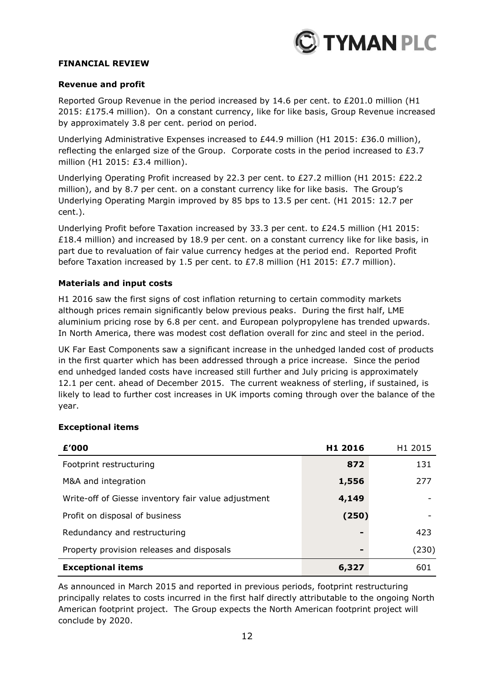

#### **FINANCIAL REVIEW**

#### **Revenue and profit**

Reported Group Revenue in the period increased by 14.6 per cent. to £201.0 million (H1 2015: £175.4 million). On a constant currency, like for like basis, Group Revenue increased by approximately 3.8 per cent. period on period.

Underlying Administrative Expenses increased to £44.9 million (H1 2015: £36.0 million), reflecting the enlarged size of the Group. Corporate costs in the period increased to £3.7 million (H1 2015: £3.4 million).

Underlying Operating Profit increased by 22.3 per cent. to £27.2 million (H1 2015: £22.2 million), and by 8.7 per cent. on a constant currency like for like basis. The Group's Underlying Operating Margin improved by 85 bps to 13.5 per cent. (H1 2015: 12.7 per cent.).

Underlying Profit before Taxation increased by 33.3 per cent. to £24.5 million (H1 2015:  $£18.4$  million) and increased by 18.9 per cent. on a constant currency like for like basis, in part due to revaluation of fair value currency hedges at the period end. Reported Profit before Taxation increased by 1.5 per cent. to £7.8 million (H1 2015: £7.7 million).

#### **Materials and input costs**

H1 2016 saw the first signs of cost inflation returning to certain commodity markets although prices remain significantly below previous peaks. During the first half, LME aluminium pricing rose by 6.8 per cent. and European polypropylene has trended upwards. In North America, there was modest cost deflation overall for zinc and steel in the period.

UK Far East Components saw a significant increase in the unhedged landed cost of products in the first quarter which has been addressed through a price increase. Since the period end unhedged landed costs have increased still further and July pricing is approximately 12.1 per cent. ahead of December 2015. The current weakness of sterling, if sustained, is likely to lead to further cost increases in UK imports coming through over the balance of the year.

#### **Exceptional items**

| £'000                                               | H1 2016 | H1 2015 |
|-----------------------------------------------------|---------|---------|
| Footprint restructuring                             | 872     | 131     |
| M&A and integration                                 | 1,556   | 277     |
| Write-off of Giesse inventory fair value adjustment | 4,149   |         |
| Profit on disposal of business                      | (250)   |         |
| Redundancy and restructuring                        |         | 423     |
| Property provision releases and disposals           |         | (230)   |
| <b>Exceptional items</b>                            | 6,327   | 601     |

As announced in March 2015 and reported in previous periods, footprint restructuring principally relates to costs incurred in the first half directly attributable to the ongoing North American footprint project. The Group expects the North American footprint project will conclude by 2020.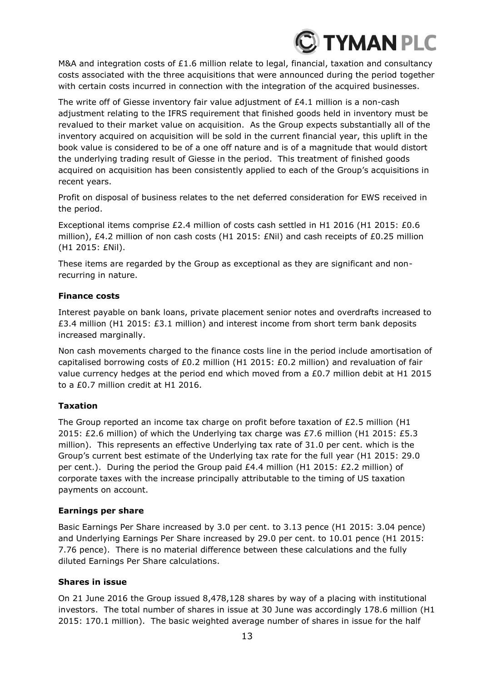# **YMAN PLC**

M&A and integration costs of £1.6 million relate to legal, financial, taxation and consultancy costs associated with the three acquisitions that were announced during the period together with certain costs incurred in connection with the integration of the acquired businesses.

The write off of Giesse inventory fair value adjustment of  $E4.1$  million is a non-cash adjustment relating to the IFRS requirement that finished goods held in inventory must be revalued to their market value on acquisition. As the Group expects substantially all of the inventory acquired on acquisition will be sold in the current financial year, this uplift in the book value is considered to be of a one off nature and is of a magnitude that would distort the underlying trading result of Giesse in the period. This treatment of finished goods acquired on acquisition has been consistently applied to each of the Group's acquisitions in recent years.

Profit on disposal of business relates to the net deferred consideration for EWS received in the period.

Exceptional items comprise £2.4 million of costs cash settled in H1 2016 (H1 2015: £0.6 million), £4.2 million of non cash costs (H1 2015: £Nil) and cash receipts of £0.25 million (H1 2015: £Nil).

These items are regarded by the Group as exceptional as they are significant and nonrecurring in nature.

## **Finance costs**

Interest payable on bank loans, private placement senior notes and overdrafts increased to £3.4 million (H1 2015: £3.1 million) and interest income from short term bank deposits increased marginally.

Non cash movements charged to the finance costs line in the period include amortisation of capitalised borrowing costs of £0.2 million (H1 2015: £0.2 million) and revaluation of fair value currency hedges at the period end which moved from a £0.7 million debit at H1 2015 to a £0.7 million credit at H1 2016.

# **Taxation**

The Group reported an income tax charge on profit before taxation of  $E2.5$  million (H1 2015: £2.6 million) of which the Underlying tax charge was £7.6 million (H1 2015: £5.3 million). This represents an effective Underlying tax rate of 31.0 per cent. which is the Group's current best estimate of the Underlying tax rate for the full year (H1 2015: 29.0 per cent.). During the period the Group paid  $E4.4$  million (H1 2015: £2.2 million) of corporate taxes with the increase principally attributable to the timing of US taxation payments on account.

#### **Earnings per share**

Basic Earnings Per Share increased by 3.0 per cent. to 3.13 pence (H1 2015: 3.04 pence) and Underlying Earnings Per Share increased by 29.0 per cent. to 10.01 pence (H1 2015: 7.76 pence). There is no material difference between these calculations and the fully diluted Earnings Per Share calculations.

#### **Shares in issue**

On 21 June 2016 the Group issued 8,478,128 shares by way of a placing with institutional investors. The total number of shares in issue at 30 June was accordingly 178.6 million (H1 2015: 170.1 million). The basic weighted average number of shares in issue for the half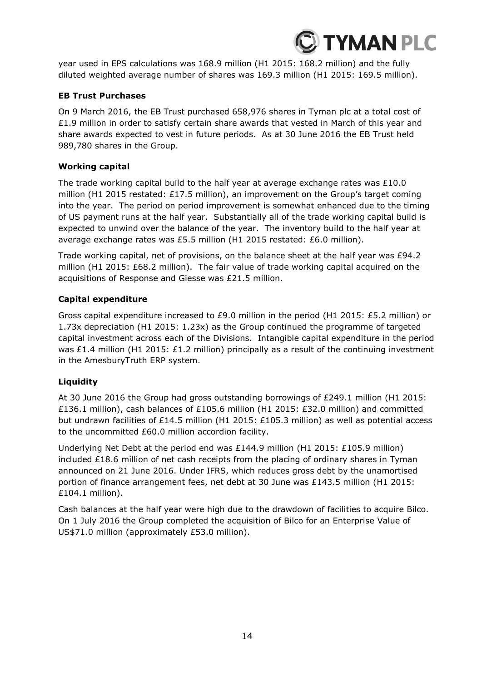

year used in EPS calculations was 168.9 million (H1 2015: 168.2 million) and the fully diluted weighted average number of shares was 169.3 million (H1 2015: 169.5 million).

#### **EB Trust Purchases**

On 9 March 2016, the EB Trust purchased 658,976 shares in Tyman plc at a total cost of  $£1.9$  million in order to satisfy certain share awards that vested in March of this year and share awards expected to vest in future periods. As at 30 June 2016 the EB Trust held 989,780 shares in the Group.

#### **Working capital**

The trade working capital build to the half year at average exchange rates was  $£10.0$ million (H1 2015 restated: £17.5 million), an improvement on the Group's target coming into the year. The period on period improvement is somewhat enhanced due to the timing of US payment runs at the half year. Substantially all of the trade working capital build is expected to unwind over the balance of the year. The inventory build to the half year at average exchange rates was £5.5 million (H1 2015 restated: £6.0 million).

Trade working capital, net of provisions, on the balance sheet at the half year was £94.2 million (H1 2015: £68.2 million). The fair value of trade working capital acquired on the acquisitions of Response and Giesse was £21.5 million.

# **Capital expenditure**

Gross capital expenditure increased to £9.0 million in the period (H1 2015: £5.2 million) or 1.73x depreciation (H1 2015: 1.23x) as the Group continued the programme of targeted capital investment across each of the Divisions. Intangible capital expenditure in the period was £1.4 million (H1 2015: £1.2 million) principally as a result of the continuing investment in the AmesburyTruth ERP system.

# **Liquidity**

At 30 June 2016 the Group had gross outstanding borrowings of £249.1 million (H1 2015: £136.1 million), cash balances of £105.6 million (H1 2015: £32.0 million) and committed but undrawn facilities of £14.5 million (H1 2015: £105.3 million) as well as potential access to the uncommitted £60.0 million accordion facility.

Underlying Net Debt at the period end was £144.9 million (H1 2015: £105.9 million) included £18.6 million of net cash receipts from the placing of ordinary shares in Tyman announced on 21 June 2016. Under IFRS, which reduces gross debt by the unamortised portion of finance arrangement fees, net debt at 30 June was £143.5 million (H1 2015: £104.1 million).

Cash balances at the half year were high due to the drawdown of facilities to acquire Bilco. On 1 July 2016 the Group completed the acquisition of Bilco for an Enterprise Value of US\$71.0 million (approximately £53.0 million).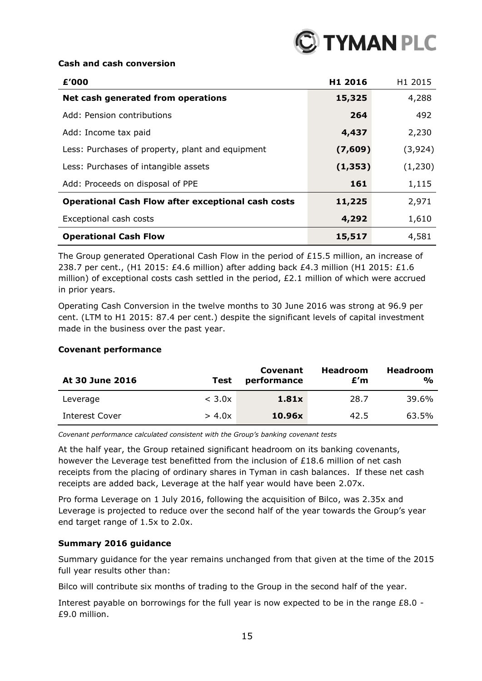

#### **Cash and cash conversion**

| £'000                                                     | H1 2016  | H <sub>1</sub> 2015 |
|-----------------------------------------------------------|----------|---------------------|
| Net cash generated from operations                        | 15,325   | 4,288               |
| Add: Pension contributions                                | 264      | 492                 |
| Add: Income tax paid                                      | 4,437    | 2,230               |
| Less: Purchases of property, plant and equipment          | (7,609)  | (3,924)             |
| Less: Purchases of intangible assets                      | (1, 353) | (1,230)             |
| Add: Proceeds on disposal of PPE                          | 161      | 1,115               |
| <b>Operational Cash Flow after exceptional cash costs</b> | 11,225   | 2,971               |
| Exceptional cash costs                                    | 4,292    | 1,610               |
| <b>Operational Cash Flow</b>                              | 15,517   | 4,581               |

The Group generated Operational Cash Flow in the period of £15.5 million, an increase of 238.7 per cent., (H1 2015: £4.6 million) after adding back £4.3 million (H1 2015: £1.6 million) of exceptional costs cash settled in the period, £2.1 million of which were accrued in prior years.

Operating Cash Conversion in the twelve months to 30 June 2016 was strong at 96.9 per cent. (LTM to H1 2015: 87.4 per cent.) despite the significant levels of capital investment made in the business over the past year.

#### **Covenant performance**

| At 30 June 2016       | Test             | Covenant<br>performance | <b>Headroom</b><br>E'm | <b>Headroom</b><br>$\frac{O}{O}$ |
|-----------------------|------------------|-------------------------|------------------------|----------------------------------|
| Leverage              | $<$ 3.0 $\times$ | 1.81x                   | 28.7                   | 39.6%                            |
| <b>Interest Cover</b> | > 4.0x           | 10.96x                  | 42.5                   | 63.5%                            |

*Covenant performance calculated consistent with the Group's banking covenant tests*

At the half year, the Group retained significant headroom on its banking covenants, however the Leverage test benefitted from the inclusion of £18.6 million of net cash receipts from the placing of ordinary shares in Tyman in cash balances. If these net cash receipts are added back, Leverage at the half year would have been 2.07x.

Pro forma Leverage on 1 July 2016, following the acquisition of Bilco, was 2.35x and Leverage is projected to reduce over the second half of the year towards the Group's year end target range of 1.5x to 2.0x.

#### **Summary 2016 guidance**

Summary guidance for the year remains unchanged from that given at the time of the 2015 full year results other than:

Bilco will contribute six months of trading to the Group in the second half of the year.

Interest payable on borrowings for the full year is now expected to be in the range £8.0 - £9.0 million.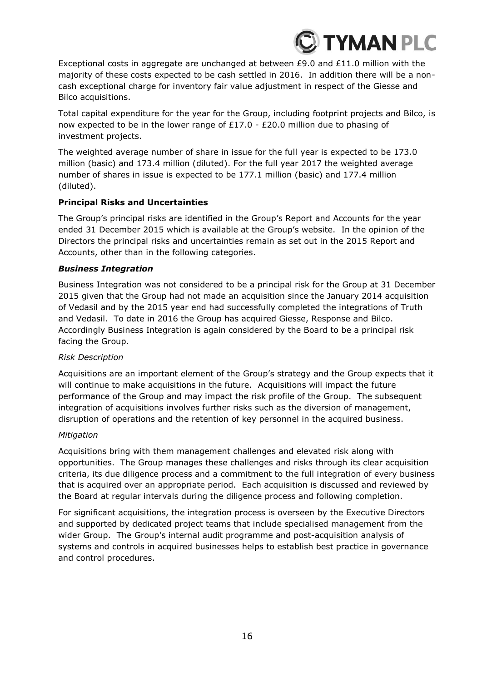# **YMAN PLC**

Exceptional costs in aggregate are unchanged at between £9.0 and £11.0 million with the majority of these costs expected to be cash settled in 2016. In addition there will be a noncash exceptional charge for inventory fair value adjustment in respect of the Giesse and Bilco acquisitions.

Total capital expenditure for the year for the Group, including footprint projects and Bilco, is now expected to be in the lower range of £17.0 - £20.0 million due to phasing of investment projects.

The weighted average number of share in issue for the full year is expected to be 173.0 million (basic) and 173.4 million (diluted). For the full year 2017 the weighted average number of shares in issue is expected to be 177.1 million (basic) and 177.4 million (diluted).

# **Principal Risks and Uncertainties**

The Group's principal risks are identified in the Group's Report and Accounts for the year ended 31 December 2015 which is available at the Group's website. In the opinion of the Directors the principal risks and uncertainties remain as set out in the 2015 Report and Accounts, other than in the following categories.

# *Business Integration*

Business Integration was not considered to be a principal risk for the Group at 31 December 2015 given that the Group had not made an acquisition since the January 2014 acquisition of Vedasil and by the 2015 year end had successfully completed the integrations of Truth and Vedasil. To date in 2016 the Group has acquired Giesse, Response and Bilco. Accordingly Business Integration is again considered by the Board to be a principal risk facing the Group.

# *Risk Description*

Acquisitions are an important element of the Group's strategy and the Group expects that it will continue to make acquisitions in the future. Acquisitions will impact the future performance of the Group and may impact the risk profile of the Group. The subsequent integration of acquisitions involves further risks such as the diversion of management, disruption of operations and the retention of key personnel in the acquired business.

# *Mitigation*

Acquisitions bring with them management challenges and elevated risk along with opportunities. The Group manages these challenges and risks through its clear acquisition criteria, its due diligence process and a commitment to the full integration of every business that is acquired over an appropriate period. Each acquisition is discussed and reviewed by the Board at regular intervals during the diligence process and following completion.

For significant acquisitions, the integration process is overseen by the Executive Directors and supported by dedicated project teams that include specialised management from the wider Group. The Group's internal audit programme and post-acquisition analysis of systems and controls in acquired businesses helps to establish best practice in governance and control procedures.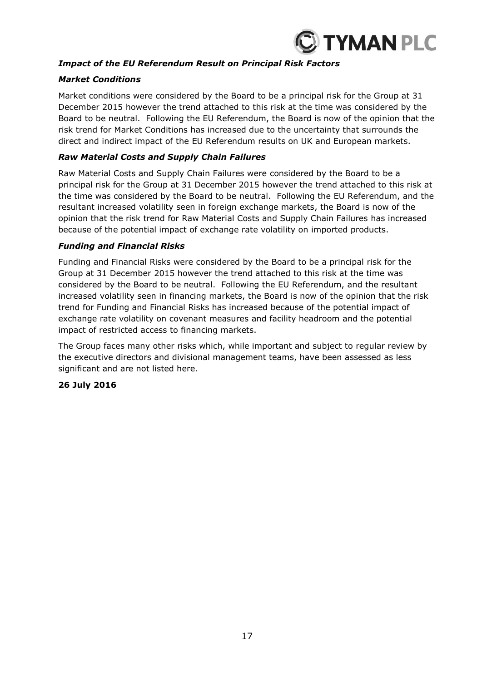

# *Impact of the EU Referendum Result on Principal Risk Factors*

#### *Market Conditions*

Market conditions were considered by the Board to be a principal risk for the Group at 31 December 2015 however the trend attached to this risk at the time was considered by the Board to be neutral. Following the EU Referendum, the Board is now of the opinion that the risk trend for Market Conditions has increased due to the uncertainty that surrounds the direct and indirect impact of the EU Referendum results on UK and European markets.

#### *Raw Material Costs and Supply Chain Failures*

Raw Material Costs and Supply Chain Failures were considered by the Board to be a principal risk for the Group at 31 December 2015 however the trend attached to this risk at the time was considered by the Board to be neutral. Following the EU Referendum, and the resultant increased volatility seen in foreign exchange markets, the Board is now of the opinion that the risk trend for Raw Material Costs and Supply Chain Failures has increased because of the potential impact of exchange rate volatility on imported products.

#### *Funding and Financial Risks*

Funding and Financial Risks were considered by the Board to be a principal risk for the Group at 31 December 2015 however the trend attached to this risk at the time was considered by the Board to be neutral. Following the EU Referendum, and the resultant increased volatility seen in financing markets, the Board is now of the opinion that the risk trend for Funding and Financial Risks has increased because of the potential impact of exchange rate volatility on covenant measures and facility headroom and the potential impact of restricted access to financing markets.

The Group faces many other risks which, while important and subject to regular review by the executive directors and divisional management teams, have been assessed as less significant and are not listed here.

#### **26 July 2016**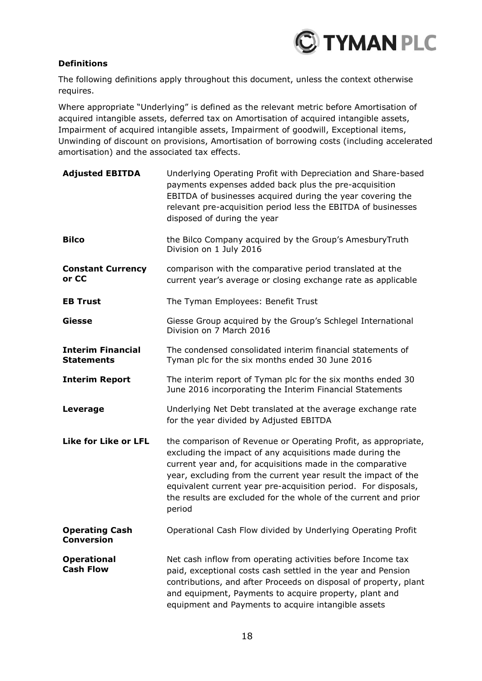

# **Definitions**

The following definitions apply throughout this document, unless the context otherwise requires.

Where appropriate "Underlying" is defined as the relevant metric before Amortisation of acquired intangible assets, deferred tax on Amortisation of acquired intangible assets, Impairment of acquired intangible assets, Impairment of goodwill, Exceptional items, Unwinding of discount on provisions, Amortisation of borrowing costs (including accelerated amortisation) and the associated tax effects.

| <b>Adjusted EBITDA</b>                        | Underlying Operating Profit with Depreciation and Share-based<br>payments expenses added back plus the pre-acquisition<br>EBITDA of businesses acquired during the year covering the<br>relevant pre-acquisition period less the EBITDA of businesses<br>disposed of during the year                                                                                                                      |
|-----------------------------------------------|-----------------------------------------------------------------------------------------------------------------------------------------------------------------------------------------------------------------------------------------------------------------------------------------------------------------------------------------------------------------------------------------------------------|
| <b>Bilco</b>                                  | the Bilco Company acquired by the Group's AmesburyTruth<br>Division on 1 July 2016                                                                                                                                                                                                                                                                                                                        |
| <b>Constant Currency</b><br>or CC             | comparison with the comparative period translated at the<br>current year's average or closing exchange rate as applicable                                                                                                                                                                                                                                                                                 |
| <b>EB Trust</b>                               | The Tyman Employees: Benefit Trust                                                                                                                                                                                                                                                                                                                                                                        |
| Giesse                                        | Giesse Group acquired by the Group's Schlegel International<br>Division on 7 March 2016                                                                                                                                                                                                                                                                                                                   |
| <b>Interim Financial</b><br><b>Statements</b> | The condensed consolidated interim financial statements of<br>Tyman plc for the six months ended 30 June 2016                                                                                                                                                                                                                                                                                             |
| <b>Interim Report</b>                         | The interim report of Tyman plc for the six months ended 30<br>June 2016 incorporating the Interim Financial Statements                                                                                                                                                                                                                                                                                   |
| Leverage                                      | Underlying Net Debt translated at the average exchange rate<br>for the year divided by Adjusted EBITDA                                                                                                                                                                                                                                                                                                    |
| <b>Like for Like or LFL</b>                   | the comparison of Revenue or Operating Profit, as appropriate,<br>excluding the impact of any acquisitions made during the<br>current year and, for acquisitions made in the comparative<br>year, excluding from the current year result the impact of the<br>equivalent current year pre-acquisition period. For disposals,<br>the results are excluded for the whole of the current and prior<br>period |
| <b>Operating Cash</b><br><b>Conversion</b>    | Operational Cash Flow divided by Underlying Operating Profit                                                                                                                                                                                                                                                                                                                                              |
| <b>Operational</b><br><b>Cash Flow</b>        | Net cash inflow from operating activities before Income tax<br>paid, exceptional costs cash settled in the year and Pension<br>contributions, and after Proceeds on disposal of property, plant<br>and equipment, Payments to acquire property, plant and<br>equipment and Payments to acquire intangible assets                                                                                          |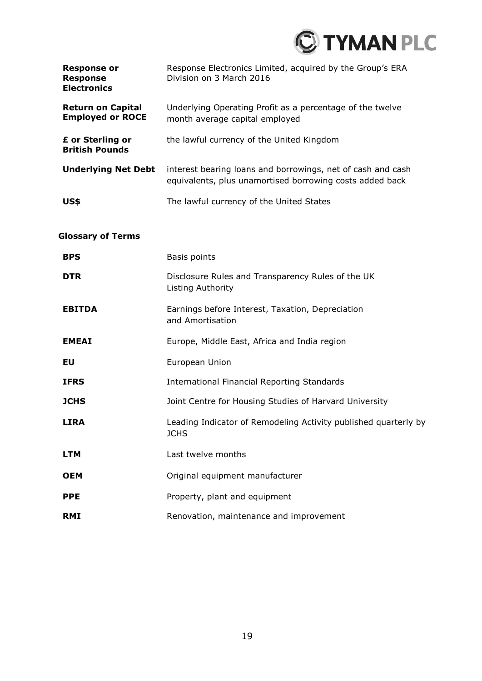

| <b>Response or</b><br><b>Response</b><br><b>Electronics</b> | Response Electronics Limited, acquired by the Group's ERA<br>Division on 3 March 2016                                   |
|-------------------------------------------------------------|-------------------------------------------------------------------------------------------------------------------------|
| <b>Return on Capital</b><br><b>Employed or ROCE</b>         | Underlying Operating Profit as a percentage of the twelve<br>month average capital employed                             |
| £ or Sterling or<br><b>British Pounds</b>                   | the lawful currency of the United Kingdom                                                                               |
| <b>Underlying Net Debt</b>                                  | interest bearing loans and borrowings, net of cash and cash<br>equivalents, plus unamortised borrowing costs added back |
| US\$                                                        | The lawful currency of the United States                                                                                |
| <b>Glossary of Terms</b>                                    |                                                                                                                         |
| <b>BPS</b>                                                  | Basis points                                                                                                            |
| <b>DTR</b>                                                  | Disclosure Rules and Transparency Rules of the UK<br>Listing Authority                                                  |
| <b>EBITDA</b>                                               | Earnings before Interest, Taxation, Depreciation<br>and Amortisation                                                    |
| <b>EMEAI</b>                                                | Europe, Middle East, Africa and India region                                                                            |
| <b>EU</b>                                                   | European Union                                                                                                          |
| <b>IFRS</b>                                                 | <b>International Financial Reporting Standards</b>                                                                      |
| <b>JCHS</b>                                                 | Joint Centre for Housing Studies of Harvard University                                                                  |
| <b>LIRA</b>                                                 | Leading Indicator of Remodeling Activity published quarterly by<br><b>JCHS</b>                                          |
| <b>LTM</b>                                                  | Last twelve months                                                                                                      |
| <b>OEM</b>                                                  | Original equipment manufacturer                                                                                         |
| <b>PPE</b>                                                  | Property, plant and equipment                                                                                           |
| <b>RMI</b>                                                  | Renovation, maintenance and improvement                                                                                 |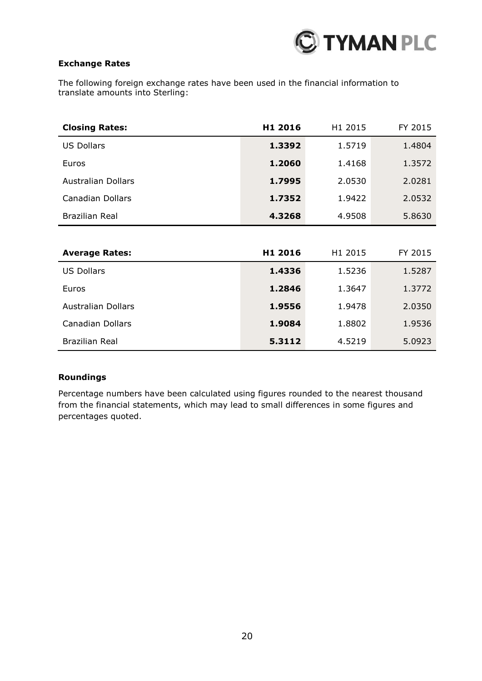

#### **Exchange Rates**

The following foreign exchange rates have been used in the financial information to translate amounts into Sterling:

| <b>Closing Rates:</b>     | H1 2016 | H1 2015 | FY 2015 |
|---------------------------|---------|---------|---------|
| <b>US Dollars</b>         | 1.3392  | 1.5719  | 1.4804  |
| Euros                     | 1.2060  | 1.4168  | 1.3572  |
| <b>Australian Dollars</b> | 1.7995  | 2.0530  | 2.0281  |
| <b>Canadian Dollars</b>   | 1.7352  | 1.9422  | 2.0532  |
| <b>Brazilian Real</b>     | 4.3268  | 4.9508  | 5.8630  |
|                           |         |         |         |
|                           |         |         |         |
| <b>Average Rates:</b>     | H1 2016 | H1 2015 | FY 2015 |
| <b>US Dollars</b>         | 1.4336  | 1.5236  | 1.5287  |
| Euros                     | 1.2846  | 1.3647  | 1.3772  |
| <b>Australian Dollars</b> | 1.9556  | 1.9478  | 2.0350  |

#### **Roundings**

Percentage numbers have been calculated using figures rounded to the nearest thousand from the financial statements, which may lead to small differences in some figures and percentages quoted.

Brazilian Real **5.3112** 4.5219 5.0923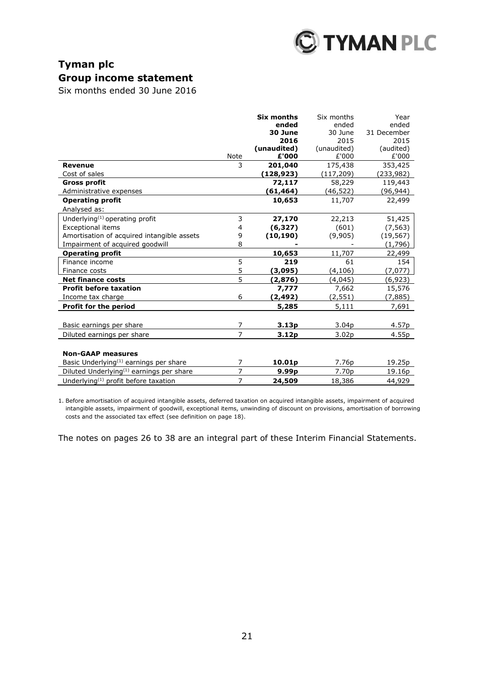

# **Tyman plc Group income statement**

Six months ended 30 June 2016

|                                                      |                | <b>Six months</b>  | Six months        | Year        |
|------------------------------------------------------|----------------|--------------------|-------------------|-------------|
|                                                      |                | ended              | ended             | ended       |
|                                                      |                | 30 June            | 30 June           | 31 December |
|                                                      |                | 2016               | 2015              | 2015        |
|                                                      |                | (unaudited)        | (unaudited)       | (audited)   |
|                                                      | Note           | £'000              | £'000             | £'000       |
| Revenue                                              | 3              | 201,040            | 175,438           | 353,425     |
| Cost of sales                                        |                | (128,923)          | (117, 209)        | (233, 982)  |
| <b>Gross profit</b>                                  |                | 72,117             | 58,229            | 119,443     |
| Administrative expenses                              |                | (61,464)           | (46,522)          | (96, 944)   |
| <b>Operating profit</b>                              |                | 10,653             | 11,707            | 22,499      |
| Analysed as:                                         |                |                    |                   |             |
| Underlying <sup>(1)</sup> operating profit           | 3              | 27,170             | 22,213            | 51,425      |
| <b>Exceptional items</b>                             | 4              | (6, 327)           | (601)             | (7, 563)    |
| Amortisation of acquired intangible assets           | 9              | (10, 190)          | (9,905)           | (19, 567)   |
| Impairment of acquired goodwill                      | 8              |                    |                   | (1,796)     |
| <b>Operating profit</b>                              |                | 10,653             | 11,707            | 22,499      |
| Finance income                                       | 5              | 219                | 61                | 154         |
| Finance costs                                        | 5              | (3,095)            | (4, 106)          | (7,077)     |
| <b>Net finance costs</b>                             | 5              | (2,876)            | (4,045)           | (6,923)     |
| <b>Profit before taxation</b>                        |                | 7,777              | 7,662             | 15,576      |
| Income tax charge                                    | 6              | (2,492)            | (2, 551)          | (7,885)     |
| Profit for the period                                |                | 5,285              | 5,111             | 7,691       |
|                                                      |                |                    |                   |             |
| Basic earnings per share                             | 7              | 3.13p              | 3.04 <sub>p</sub> | 4.57p       |
| Diluted earnings per share                           | $\overline{7}$ | 3.12 <sub>p</sub>  | 3.02 <sub>p</sub> | 4.55p       |
|                                                      |                |                    |                   |             |
| <b>Non-GAAP measures</b>                             |                |                    |                   |             |
| Basic Underlying <sup>(1)</sup> earnings per share   | $\overline{7}$ | 10.01 <sub>p</sub> | 7.76p             | 19.25p      |
| Diluted Underlying <sup>(1)</sup> earnings per share | 7              | 9.99 <sub>p</sub>  | 7.70p             | 19.16p      |
| Underlying <sup>(1)</sup> profit before taxation     | $\overline{7}$ | 24,509             | 18,386            | 44,929      |

1. Before amortisation of acquired intangible assets, deferred taxation on acquired intangible assets, impairment of acquired intangible assets, impairment of goodwill, exceptional items, unwinding of discount on provisions, amortisation of borrowing costs and the associated tax effect (see definition on page 18).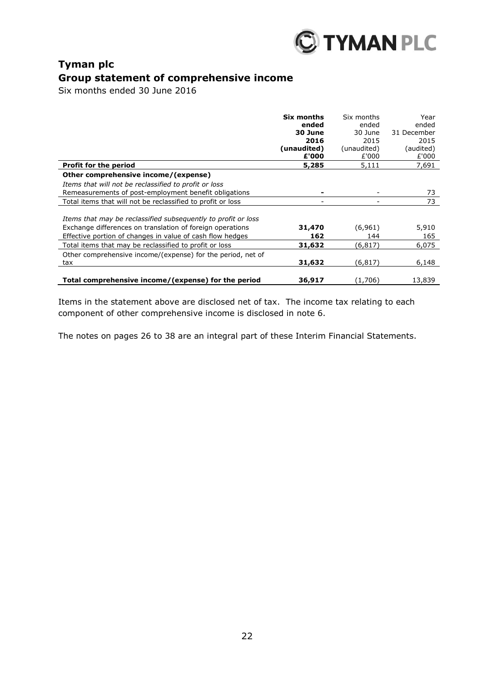

# **Tyman plc Group statement of comprehensive income**

Six months ended 30 June 2016

|                                                                                                                                                                                         | Six months<br>ended<br>30 June<br>2016<br>(unaudited)<br>£'000 | Six months<br>ended<br>30 June<br>2015<br>(unaudited)<br>£'000 | Year<br>ended<br>31 December<br>2015<br>(audited)<br>£'000 |
|-----------------------------------------------------------------------------------------------------------------------------------------------------------------------------------------|----------------------------------------------------------------|----------------------------------------------------------------|------------------------------------------------------------|
| <b>Profit for the period</b>                                                                                                                                                            | 5,285                                                          | 5,111                                                          | 7,691                                                      |
| Other comprehensive income/(expense)<br>Items that will not be reclassified to profit or loss                                                                                           |                                                                |                                                                |                                                            |
| Remeasurements of post-employment benefit obligations                                                                                                                                   |                                                                |                                                                | 73                                                         |
| Total items that will not be reclassified to profit or loss                                                                                                                             |                                                                |                                                                | 73                                                         |
| Items that may be reclassified subsequently to profit or loss<br>Exchange differences on translation of foreign operations<br>Effective portion of changes in value of cash flow hedges | 31,470<br>162                                                  | (6,961)<br>144                                                 | 5,910<br>165                                               |
| Total items that may be reclassified to profit or loss                                                                                                                                  | 31,632                                                         | (6,817)                                                        | 6,075                                                      |
| Other comprehensive income/(expense) for the period, net of<br>tax                                                                                                                      | 31,632                                                         | (6,817)                                                        | 6,148                                                      |
| Total comprehensive income/(expense) for the period                                                                                                                                     | 36,917                                                         | (1,706)                                                        | 13,839                                                     |

Items in the statement above are disclosed net of tax. The income tax relating to each component of other comprehensive income is disclosed in note 6.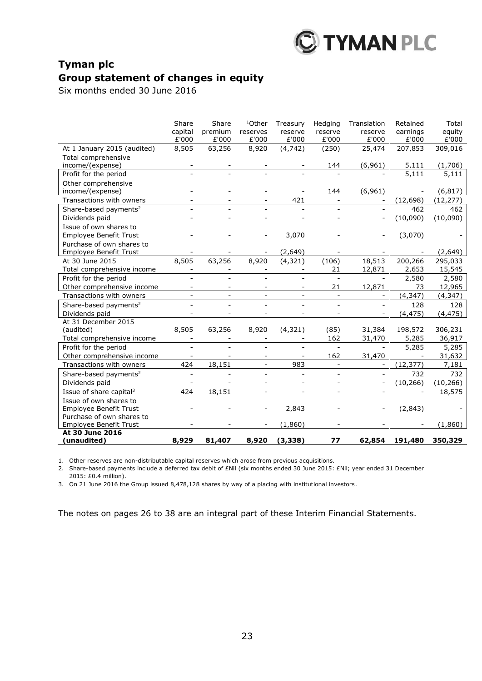

# **Tyman plc Group statement of changes in equity**

Six months ended 30 June 2016

|                                     | Share                        | Share                        | <sup>1</sup> Other       | Treasury       | Hedging                  | Translation              | Retained  | Total     |
|-------------------------------------|------------------------------|------------------------------|--------------------------|----------------|--------------------------|--------------------------|-----------|-----------|
|                                     | capital                      | premium                      | reserves                 | reserve        | reserve                  | reserve                  | earnings  | equity    |
|                                     | E'000                        | £'000                        | £'000                    | £'000          | £'000                    | £'000                    | £'000     | £'000     |
| At 1 January 2015 (audited)         | 8,505                        | 63,256                       | 8,920                    | (4, 742)       | (250)                    | 25,474                   | 207,853   | 309,016   |
| Total comprehensive                 |                              |                              |                          |                |                          |                          |           |           |
| income/(expense)                    |                              |                              |                          |                | 144                      | (6,961)                  | 5,111     | (1,706)   |
| Profit for the period               |                              |                              |                          |                |                          |                          | 5,111     | 5,111     |
| Other comprehensive                 |                              |                              |                          |                |                          |                          |           |           |
| income/(expense)                    |                              |                              |                          |                | 144                      | (6,961)                  |           | (6, 817)  |
| Transactions with owners            | $\overline{\phantom{a}}$     | $\overline{\phantom{a}}$     | $\overline{\phantom{a}}$ | 421            | $\overline{\phantom{a}}$ |                          | (12, 698) | (12, 277) |
| Share-based payments <sup>2</sup>   |                              |                              |                          | $\overline{a}$ |                          |                          | 462       | 462       |
| Dividends paid                      |                              |                              |                          |                |                          |                          | (10,090)  | (10,090)  |
| Issue of own shares to              |                              |                              |                          |                |                          |                          |           |           |
| Employee Benefit Trust              |                              |                              |                          | 3,070          |                          |                          | (3,070)   |           |
| Purchase of own shares to           |                              |                              |                          |                |                          |                          |           |           |
| <b>Employee Benefit Trust</b>       |                              |                              |                          | (2,649)        |                          |                          |           | (2,649)   |
| At 30 June 2015                     | 8,505                        | 63,256                       | 8,920                    | (4, 321)       | (106)                    | 18,513                   | 200,266   | 295,033   |
| Total comprehensive income          | $\qquad \qquad \blacksquare$ | $\qquad \qquad \blacksquare$ | $\blacksquare$           | -              | 21                       | 12,871                   | 2,653     | 15,545    |
| Profit for the period               |                              | $\overline{a}$               |                          | $\blacksquare$ | $\bar{\phantom{a}}$      | $\blacksquare$           | 2,580     | 2,580     |
| Other comprehensive income          |                              |                              |                          |                | 21                       | 12,871                   | 73        | 12,965    |
| Transactions with owners            | $\blacksquare$               | $\blacksquare$               | $\overline{\phantom{a}}$ | $\blacksquare$ | $\overline{\phantom{a}}$ | $\overline{\phantom{a}}$ | (4, 347)  | (4, 347)  |
| Share-based payments <sup>2</sup>   | ٠                            | $\blacksquare$               | $\overline{a}$           | $\overline{a}$ | $\sim$                   |                          | 128       | 128       |
| Dividends paid                      |                              |                              |                          | $\blacksquare$ | $\blacksquare$           |                          | (4, 475)  | (4, 475)  |
| At 31 December 2015                 |                              |                              |                          |                |                          |                          |           |           |
| (audited)                           | 8,505                        | 63,256                       | 8,920                    | (4, 321)       | (85)                     | 31,384                   | 198,572   | 306,231   |
| Total comprehensive income          |                              |                              |                          |                | 162                      | 31,470                   | 5,285     | 36,917    |
| Profit for the period               |                              |                              |                          | $\blacksquare$ | $\overline{\phantom{a}}$ | $\sim$                   | 5,285     | 5,285     |
| Other comprehensive income          |                              |                              |                          |                | 162                      | 31,470                   |           | 31,632    |
| Transactions with owners            | 424                          | 18,151                       |                          | 983            | $\overline{a}$           |                          | (12, 377) | 7,181     |
| Share-based payments <sup>2</sup>   |                              |                              |                          |                |                          |                          | 732       | 732       |
| Dividends paid                      |                              |                              |                          |                |                          |                          | (10, 266) | (10, 266) |
| Issue of share capital <sup>3</sup> | 424                          | 18,151                       |                          |                |                          |                          |           | 18,575    |
| Issue of own shares to              |                              |                              |                          |                |                          |                          |           |           |
| <b>Employee Benefit Trust</b>       |                              |                              |                          | 2,843          |                          |                          | (2,843)   |           |
| Purchase of own shares to           |                              |                              |                          |                |                          |                          |           |           |
| Employee Benefit Trust              |                              |                              |                          | (1,860)        |                          |                          |           | (1,860)   |
| At 30 June 2016                     |                              |                              |                          |                |                          |                          |           |           |
| (unaudited)                         | 8,929                        | 81,407                       | 8,920                    | (3, 338)       | 77                       | 62,854                   | 191,480   | 350,329   |

1. Other reserves are non-distributable capital reserves which arose from previous acquisitions.

2. Share-based payments include a deferred tax debit of £Nil (six months ended 30 June 2015: £Nil; year ended 31 December 2015: £0.4 million).

3. On 21 June 2016 the Group issued 8,478,128 shares by way of a placing with institutional investors.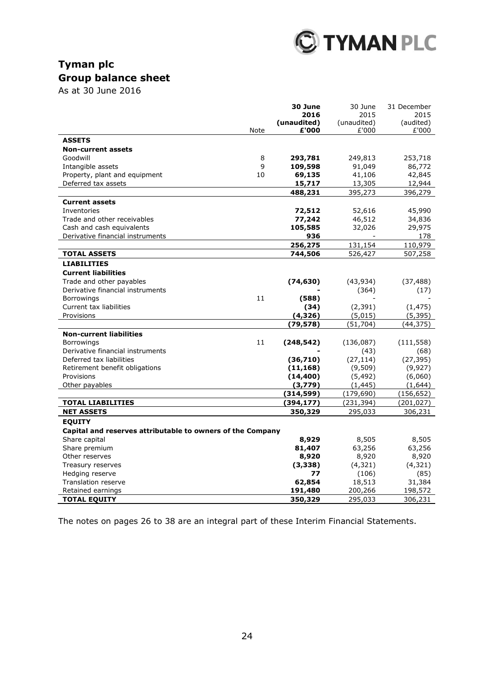

# **Tyman plc Group balance sheet**

As at 30 June 2016

|                                                               |      | 30 June          | 30 June           | 31 December       |
|---------------------------------------------------------------|------|------------------|-------------------|-------------------|
|                                                               |      | 2016             | 2015              | 2015              |
|                                                               |      | (unaudited)      | (unaudited)       | (audited)         |
|                                                               | Note | £'000            | £'000             | £'000             |
| <b>ASSETS</b>                                                 |      |                  |                   |                   |
| <b>Non-current assets</b><br>Goodwill                         | 8    | 293,781          | 249,813           |                   |
|                                                               | 9    | 109,598          |                   | 253,718<br>86,772 |
| Intangible assets                                             | 10   |                  | 91,049            | 42,845            |
| Property, plant and equipment                                 |      | 69,135           | 41,106            |                   |
| Deferred tax assets                                           |      | 15,717           | 13,305<br>395,273 | 12,944            |
|                                                               |      | 488,231          |                   | 396,279           |
| <b>Current assets</b>                                         |      |                  |                   |                   |
| Inventories                                                   |      | 72,512<br>77,242 | 52,616            | 45,990            |
| Trade and other receivables                                   |      |                  | 46,512            | 34,836            |
| Cash and cash equivalents<br>Derivative financial instruments |      | 105,585<br>936   | 32,026            | 29,975<br>178     |
|                                                               |      | 256,275          | 131,154           | 110,979           |
| <b>TOTAL ASSETS</b>                                           |      | 744,506          | 526,427           | 507,258           |
| <b>LIABILITIES</b>                                            |      |                  |                   |                   |
| <b>Current liabilities</b>                                    |      |                  |                   |                   |
| Trade and other payables                                      |      | (74, 630)        | (43, 934)         | (37, 488)         |
| Derivative financial instruments                              |      |                  | (364)             | (17)              |
| <b>Borrowings</b>                                             | 11   | (588)            |                   |                   |
| Current tax liabilities                                       |      | (34)             | (2, 391)          | (1, 475)          |
| Provisions                                                    |      | (4, 326)         | (5,015)           | (5, 395)          |
|                                                               |      | (79, 578)        | (51, 704)         | (44, 375)         |
| <b>Non-current liabilities</b>                                |      |                  |                   |                   |
| <b>Borrowings</b>                                             | 11   | (248, 542)       | (136,087)         | (111, 558)        |
| Derivative financial instruments                              |      |                  | (43)              | (68)              |
| Deferred tax liabilities                                      |      | (36,710)         | (27, 114)         | (27, 395)         |
| Retirement benefit obligations                                |      | (11, 168)        | (9,509)           | (9,927)           |
| Provisions                                                    |      | (14, 400)        | (5, 492)          | (6,060)           |
| Other payables                                                |      | (3,779)          | (1, 445)          | (1,644)           |
|                                                               |      | (314, 599)       | (179, 690)        | (156, 652)        |
| <b>TOTAL LIABILITIES</b>                                      |      | (394, 177)       | (231, 394)        | (201, 027)        |
| <b>NET ASSETS</b>                                             |      | 350,329          | 295,033           | 306,231           |
| <b>EQUITY</b>                                                 |      |                  |                   |                   |
| Capital and reserves attributable to owners of the Company    |      |                  |                   |                   |
| Share capital                                                 |      | 8,929            | 8,505             | 8,505             |
| Share premium                                                 |      | 81,407           | 63,256            | 63,256            |
| Other reserves                                                |      | 8,920            | 8,920             | 8,920             |
| Treasury reserves                                             |      | (3,338)          | (4, 321)          | (4,321)           |
| Hedging reserve                                               |      | 77               | (106)             | (85)              |
| Translation reserve                                           |      | 62,854           | 18,513            | 31,384            |
| Retained earnings                                             |      | 191,480          | 200,266           | 198,572           |
| <b>TOTAL EQUITY</b>                                           |      | 350,329          | 295,033           | 306,231           |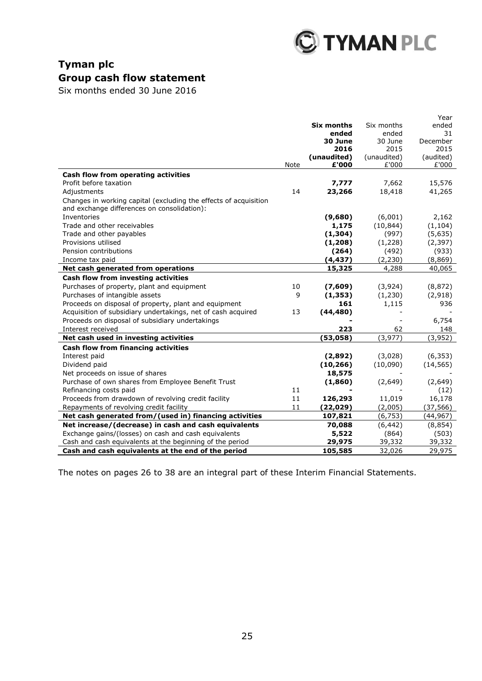

# **Tyman plc Group cash flow statement**

Six months ended 30 June 2016

|                                                                  |             |                   |             | Year      |
|------------------------------------------------------------------|-------------|-------------------|-------------|-----------|
|                                                                  |             | <b>Six months</b> | Six months  | ended     |
|                                                                  |             | ended             | ended       | 31        |
|                                                                  |             | 30 June           | 30 June     | December  |
|                                                                  |             | 2016              | 2015        | 2015      |
|                                                                  |             | (unaudited)       | (unaudited) | (audited) |
|                                                                  | <b>Note</b> | £'000             | £'000       | £'000     |
| Cash flow from operating activities                              |             |                   |             |           |
| Profit before taxation                                           |             | 7,777             | 7,662       | 15,576    |
| Adjustments                                                      | 14          | 23,266            | 18,418      | 41,265    |
| Changes in working capital (excluding the effects of acquisition |             |                   |             |           |
| and exchange differences on consolidation):                      |             |                   |             |           |
| Inventories                                                      |             | (9,680)           | (6,001)     | 2,162     |
| Trade and other receivables                                      |             | 1,175             | (10, 844)   | (1, 104)  |
| Trade and other payables                                         |             | (1, 304)          | (997)       | (5,635)   |
| Provisions utilised                                              |             | (1,208)           | (1,228)     | (2, 397)  |
| Pension contributions                                            |             | (264)             | (492)       | (933)     |
| Income tax paid                                                  |             | (4, 437)          | (2, 230)    | (8,869)   |
| Net cash generated from operations                               |             | 15,325            | 4,288       | 40,065    |
| Cash flow from investing activities                              |             |                   |             |           |
| Purchases of property, plant and equipment                       | 10          | (7,609)           | (3, 924)    | (8,872)   |
| Purchases of intangible assets                                   | 9           | (1, 353)          | (1, 230)    | (2,918)   |
| Proceeds on disposal of property, plant and equipment            |             | 161               | 1,115       | 936       |
| Acquisition of subsidiary undertakings, net of cash acquired     | 13          | (44, 480)         |             |           |
| Proceeds on disposal of subsidiary undertakings                  |             |                   |             | 6,754     |
| Interest received                                                |             | 223               | 62          | 148       |
| Net cash used in investing activities                            |             | (53, 058)         | (3, 977)    | (3,952)   |
| Cash flow from financing activities                              |             |                   |             |           |
| Interest paid                                                    |             | (2,892)           | (3,028)     | (6, 353)  |
| Dividend paid                                                    |             | (10, 266)         | (10,090)    | (14, 565) |
| Net proceeds on issue of shares                                  |             | 18,575            |             |           |
| Purchase of own shares from Employee Benefit Trust               |             | (1,860)           | (2,649)     | (2,649)   |
| Refinancing costs paid                                           | 11          |                   |             | (12)      |
| Proceeds from drawdown of revolving credit facility              | 11          | 126,293           | 11,019      | 16,178    |
| Repayments of revolving credit facility                          | 11          | (22, 029)         | (2,005)     | (37, 566) |
| Net cash generated from/(used in) financing activities           |             | 107,821           | (6, 753)    | (44, 967) |
| Net increase/(decrease) in cash and cash equivalents             |             | 70,088            | (6, 442)    | (8, 854)  |
| Exchange gains/(losses) on cash and cash equivalents             |             | 5,522             | (864)       | (503)     |
| Cash and cash equivalents at the beginning of the period         |             | 29,975            | 39,332      | 39,332    |
| Cash and cash equivalents at the end of the period               |             | 105,585           | 32,026      | 29,975    |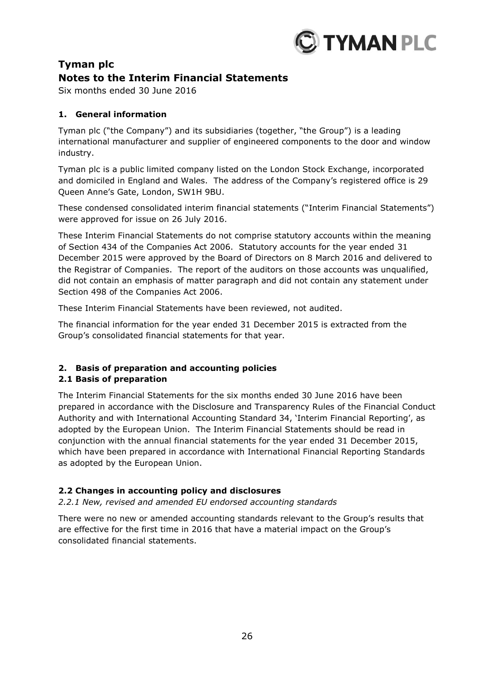

# **Tyman plc Notes to the Interim Financial Statements**

Six months ended 30 June 2016

# **1. General information**

Tyman plc ("the Company") and its subsidiaries (together, "the Group") is a leading international manufacturer and supplier of engineered components to the door and window industry.

Tyman plc is a public limited company listed on the London Stock Exchange, incorporated and domiciled in England and Wales. The address of the Company's registered office is 29 Queen Anne's Gate, London, SW1H 9BU.

These condensed consolidated interim financial statements ("Interim Financial Statements") were approved for issue on 26 July 2016.

These Interim Financial Statements do not comprise statutory accounts within the meaning of Section 434 of the Companies Act 2006. Statutory accounts for the year ended 31 December 2015 were approved by the Board of Directors on 8 March 2016 and delivered to the Registrar of Companies. The report of the auditors on those accounts was unqualified, did not contain an emphasis of matter paragraph and did not contain any statement under Section 498 of the Companies Act 2006.

These Interim Financial Statements have been reviewed, not audited.

The financial information for the year ended 31 December 2015 is extracted from the Group's consolidated financial statements for that year.

# **2. Basis of preparation and accounting policies**

# **2.1 Basis of preparation**

The Interim Financial Statements for the six months ended 30 June 2016 have been prepared in accordance with the Disclosure and Transparency Rules of the Financial Conduct Authority and with International Accounting Standard 34, 'Interim Financial Reporting', as adopted by the European Union. The Interim Financial Statements should be read in conjunction with the annual financial statements for the year ended 31 December 2015, which have been prepared in accordance with International Financial Reporting Standards as adopted by the European Union.

# **2.2 Changes in accounting policy and disclosures**

# *2.2.1 New, revised and amended EU endorsed accounting standards*

There were no new or amended accounting standards relevant to the Group's results that are effective for the first time in 2016 that have a material impact on the Group's consolidated financial statements.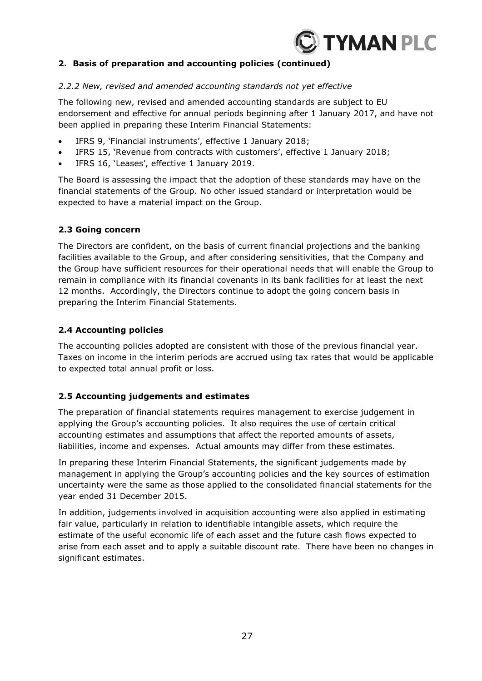

# **2. Basis of preparation and accounting policies (continued)**

#### *2.2.2 New, revised and amended accounting standards not yet effective*

The following new, revised and amended accounting standards are subject to EU endorsement and effective for annual periods beginning after 1 January 2017, and have not been applied in preparing these Interim Financial Statements:

- IFRS 9, 'Financial instruments', effective 1 January 2018;
- IFRS 15, 'Revenue from contracts with customers', effective 1 January 2018;
- IFRS 16, 'Leases', effective 1 January 2019.

The Board is assessing the impact that the adoption of these standards may have on the financial statements of the Group. No other issued standard or interpretation would be expected to have a material impact on the Group.

## **2.3 Going concern**

The Directors are confident, on the basis of current financial projections and the banking facilities available to the Group, and after considering sensitivities, that the Company and the Group have sufficient resources for their operational needs that will enable the Group to remain in compliance with its financial covenants in its bank facilities for at least the next 12 months. Accordingly, the Directors continue to adopt the going concern basis in preparing the Interim Financial Statements.

## **2.4 Accounting policies**

The accounting policies adopted are consistent with those of the previous financial year. Taxes on income in the interim periods are accrued using tax rates that would be applicable to expected total annual profit or loss.

#### **2.5 Accounting judgements and estimates**

The preparation of financial statements requires management to exercise judgement in applying the Group's accounting policies. It also requires the use of certain critical accounting estimates and assumptions that affect the reported amounts of assets, liabilities, income and expenses. Actual amounts may differ from these estimates.

In preparing these Interim Financial Statements, the significant judgements made by management in applying the Group's accounting policies and the key sources of estimation uncertainty were the same as those applied to the consolidated financial statements for the year ended 31 December 2015.

In addition, judgements involved in acquisition accounting were also applied in estimating fair value, particularly in relation to identifiable intangible assets, which require the estimate of the useful economic life of each asset and the future cash flows expected to arise from each asset and to apply a suitable discount rate. There have been no changes in significant estimates.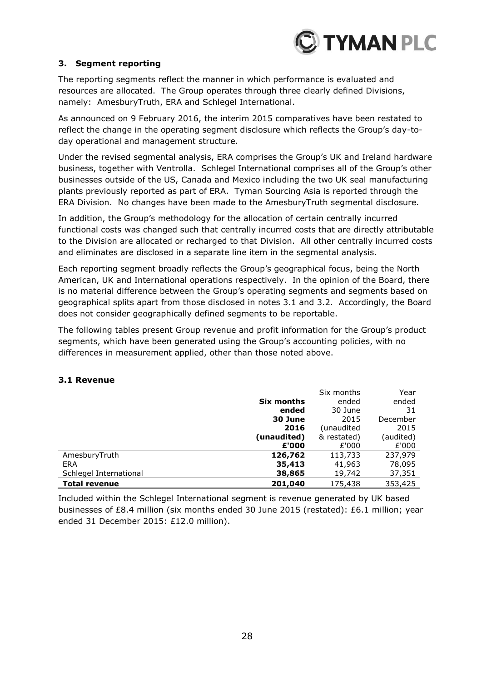

# **3. Segment reporting**

The reporting segments reflect the manner in which performance is evaluated and resources are allocated. The Group operates through three clearly defined Divisions, namely: AmesburyTruth, ERA and Schlegel International.

As announced on 9 February 2016, the interim 2015 comparatives have been restated to reflect the change in the operating segment disclosure which reflects the Group's day-today operational and management structure.

Under the revised segmental analysis, ERA comprises the Group's UK and Ireland hardware business, together with Ventrolla. Schlegel International comprises all of the Group's other businesses outside of the US, Canada and Mexico including the two UK seal manufacturing plants previously reported as part of ERA. Tyman Sourcing Asia is reported through the ERA Division. No changes have been made to the AmesburyTruth segmental disclosure.

In addition, the Group's methodology for the allocation of certain centrally incurred functional costs was changed such that centrally incurred costs that are directly attributable to the Division are allocated or recharged to that Division. All other centrally incurred costs and eliminates are disclosed in a separate line item in the segmental analysis.

Each reporting segment broadly reflects the Group's geographical focus, being the North American, UK and International operations respectively. In the opinion of the Board, there is no material difference between the Group's operating segments and segments based on geographical splits apart from those disclosed in notes 3.1 and 3.2. Accordingly, the Board does not consider geographically defined segments to be reportable.

The following tables present Group revenue and profit information for the Group's product segments, which have been generated using the Group's accounting policies, with no differences in measurement applied, other than those noted above.

#### **3.1 Revenue**

|                        |             | Six months  | Year      |
|------------------------|-------------|-------------|-----------|
|                        | Six months  | ended       | ended     |
|                        | ended       | 30 June     | 31        |
|                        | 30 June     | 2015        | December  |
|                        | 2016        | (unaudited  | 2015      |
|                        | (unaudited) | & restated) | (audited) |
|                        | £'000       | £'000       | £'000     |
| AmesburyTruth          | 126,762     | 113,733     | 237,979   |
| ERA                    | 35,413      | 41,963      | 78,095    |
| Schlegel International | 38,865      | 19,742      | 37,351    |
| <b>Total revenue</b>   | 201,040     | 175,438     | 353,425   |

Included within the Schlegel International segment is revenue generated by UK based businesses of £8.4 million (six months ended 30 June 2015 (restated): £6.1 million; year ended 31 December 2015: £12.0 million).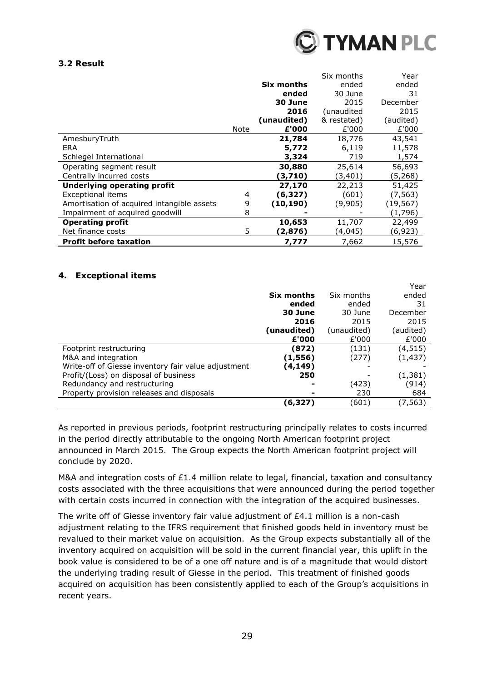

#### **3.2 Result**

|                                            |      |             | Six months  | Year      |
|--------------------------------------------|------|-------------|-------------|-----------|
|                                            |      | Six months  | ended       | ended     |
|                                            |      | ended       | 30 June     | 31        |
|                                            |      | 30 June     | 2015        | December  |
|                                            |      | 2016        | (unaudited  | 2015      |
|                                            |      | (unaudited) | & restated) | (audited) |
|                                            | Note | £'000       | £'000       | £'000     |
| AmesburyTruth                              |      | 21,784      | 18,776      | 43,541    |
| ERA                                        |      | 5,772       | 6,119       | 11,578    |
| Schlegel International                     |      | 3,324       | 719         | 1,574     |
| Operating segment result                   |      | 30,880      | 25,614      | 56,693    |
| Centrally incurred costs                   |      | (3,710)     | (3, 401)    | (5,268)   |
| Underlying operating profit                |      | 27,170      | 22,213      | 51,425    |
| <b>Exceptional items</b>                   | 4    | (6, 327)    | (601)       | (7, 563)  |
| Amortisation of acquired intangible assets | 9    | (10, 190)   | (9,905)     | (19, 567) |
| Impairment of acquired goodwill            | 8    |             |             | (1,796)   |
| <b>Operating profit</b>                    |      | 10,653      | 11,707      | 22,499    |
| Net finance costs                          | 5    | (2,876)     | (4,045)     | (6,923)   |
| <b>Profit before taxation</b>              |      | 7,777       | 7,662       | 15,576    |

#### **4. Exceptional items**

|                                                     |             |             | Year      |
|-----------------------------------------------------|-------------|-------------|-----------|
|                                                     | Six months  | Six months  | ended     |
|                                                     | ended       | ended       | 31        |
|                                                     | 30 June     | 30 June     | December  |
|                                                     | 2016        | 2015        | 2015      |
|                                                     | (unaudited) | (unaudited) | (audited) |
|                                                     | £'000       | £'000       | £'000     |
| Footprint restructuring                             | (872)       | (131)       | (4, 515)  |
| M&A and integration                                 | (1, 556)    | (277)       | (1,437)   |
| Write-off of Giesse inventory fair value adjustment | (4,149)     |             |           |
| Profit/(Loss) on disposal of business               | 250         |             | (1, 381)  |
| Redundancy and restructuring                        |             | (423)       | (914)     |
| Property provision releases and disposals           |             | 230         | 684       |
|                                                     | (6,327)     | (601)       | (7, 563)  |

As reported in previous periods, footprint restructuring principally relates to costs incurred in the period directly attributable to the ongoing North American footprint project announced in March 2015. The Group expects the North American footprint project will conclude by 2020.

M&A and integration costs of £1.4 million relate to legal, financial, taxation and consultancy costs associated with the three acquisitions that were announced during the period together with certain costs incurred in connection with the integration of the acquired businesses.

The write off of Giesse inventory fair value adjustment of  $E4.1$  million is a non-cash adjustment relating to the IFRS requirement that finished goods held in inventory must be revalued to their market value on acquisition. As the Group expects substantially all of the inventory acquired on acquisition will be sold in the current financial year, this uplift in the book value is considered to be of a one off nature and is of a magnitude that would distort the underlying trading result of Giesse in the period. This treatment of finished goods acquired on acquisition has been consistently applied to each of the Group's acquisitions in recent years.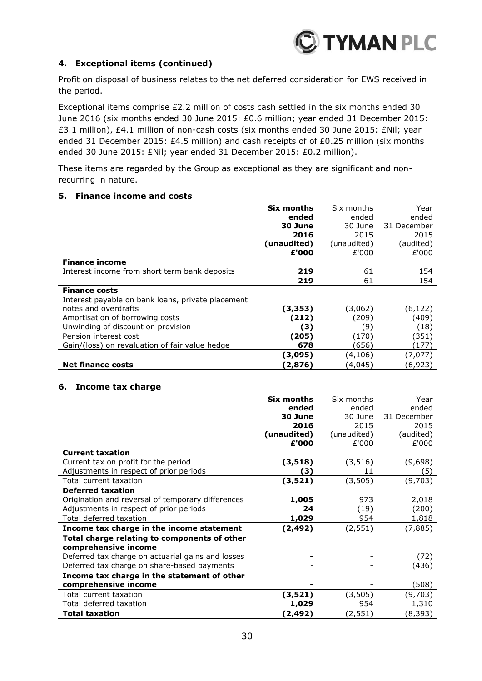

## **4. Exceptional items (continued)**

Profit on disposal of business relates to the net deferred consideration for EWS received in the period.

Exceptional items comprise £2.2 million of costs cash settled in the six months ended 30 June 2016 (six months ended 30 June 2015: £0.6 million; year ended 31 December 2015: £3.1 million), £4.1 million of non-cash costs (six months ended 30 June 2015: £Nil; year ended 31 December 2015: £4.5 million) and cash receipts of of £0.25 million (six months ended 30 June 2015: £Nil; year ended 31 December 2015: £0.2 million).

These items are regarded by the Group as exceptional as they are significant and nonrecurring in nature.

#### **5. Finance income and costs**

|                                                   | <b>Six months</b> | Six months  | Year        |
|---------------------------------------------------|-------------------|-------------|-------------|
|                                                   | ended             | ended       | ended       |
|                                                   | 30 June           | 30 June     | 31 December |
|                                                   | 2016              | 2015        | 2015        |
|                                                   | (unaudited)       | (unaudited) | (audited)   |
|                                                   | £'000             | £'000       | £'000       |
| <b>Finance income</b>                             |                   |             |             |
| Interest income from short term bank deposits     | 219               | 61          | 154         |
|                                                   | 219               | 61          | 154         |
| <b>Finance costs</b>                              |                   |             |             |
| Interest payable on bank loans, private placement |                   |             |             |
| notes and overdrafts                              | (3,353)           | (3,062)     | (6, 122)    |
| Amortisation of borrowing costs                   | (212)             | (209)       | (409)       |
| Unwinding of discount on provision                | (3)               | (9)         | (18)        |
| Pension interest cost                             | (205)             | (170)       | (351)       |
| Gain/(loss) on revaluation of fair value hedge    | 678               | (656)       | (177)       |
|                                                   | (3,095)           | (4,106)     | (7,077)     |
| <b>Net finance costs</b>                          | (2,876)           | (4,045)     | (6,923)     |

#### **6. Income tax charge**

|                                                   | Six months  | Six months  | Year        |
|---------------------------------------------------|-------------|-------------|-------------|
|                                                   | ended       | ended       | ended       |
|                                                   | 30 June     | 30 June     | 31 December |
|                                                   | 2016        | 2015        | 2015        |
|                                                   | (unaudited) | (unaudited) | (audited)   |
|                                                   | £'000       | £'000       | £'000       |
| <b>Current taxation</b>                           |             |             |             |
| Current tax on profit for the period              | (3,518)     | (3, 516)    | (9,698)     |
| Adjustments in respect of prior periods           | (3)         | 11          | (5)         |
| Total current taxation                            | (3,521)     | (3,505)     | (9,703)     |
| <b>Deferred taxation</b>                          |             |             |             |
| Origination and reversal of temporary differences | 1,005       | 973         | 2,018       |
| Adjustments in respect of prior periods           | 24          | (19)        | (200)       |
| Total deferred taxation                           | 1,029       | 954         | 1,818       |
| Income tax charge in the income statement         | (2,492)     | (2,551)     | (7,885)     |
| Total charge relating to components of other      |             |             |             |
| comprehensive income                              |             |             |             |
| Deferred tax charge on actuarial gains and losses |             |             | (72)        |
| Deferred tax charge on share-based payments       |             |             | (436)       |
| Income tax charge in the statement of other       |             |             |             |
| comprehensive income                              |             |             | (508)       |
| Total current taxation                            | (3,521)     | (3,505)     | (9,703)     |
| Total deferred taxation                           | 1,029       | 954         | 1,310       |
| <b>Total taxation</b>                             | (2, 492)    | (2, 551)    | (8, 393)    |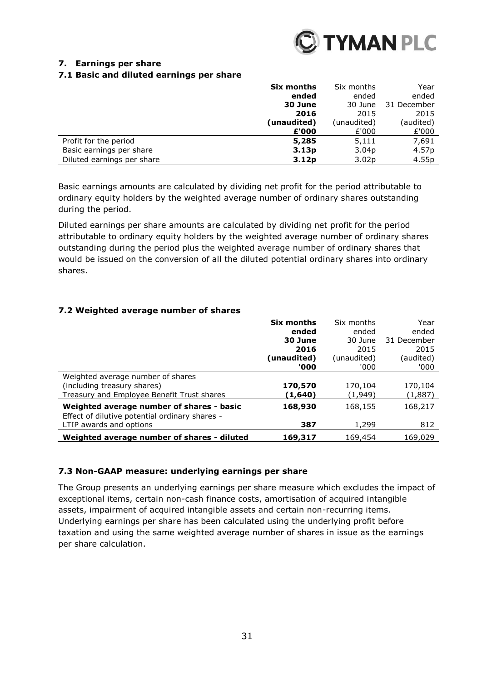

## **7. Earnings per share**

#### **7.1 Basic and diluted earnings per share**

|                            | Six months  | Six months        | Year        |
|----------------------------|-------------|-------------------|-------------|
|                            | ended       | ended             | ended       |
|                            | 30 June     | 30 June           | 31 December |
|                            | 2016        | 2015              | 2015        |
|                            | (unaudited) | (unaudited)       | (audited)   |
|                            | £'000       | £'000             | £'000       |
| Profit for the period      | 5,285       | 5,111             | 7,691       |
| Basic earnings per share   | 3.13p       | 3.04 <sub>p</sub> | 4.57p       |
| Diluted earnings per share | 3.12p       | 3.02 <sub>p</sub> | 4.55p       |

Basic earnings amounts are calculated by dividing net profit for the period attributable to ordinary equity holders by the weighted average number of ordinary shares outstanding during the period.

Diluted earnings per share amounts are calculated by dividing net profit for the period attributable to ordinary equity holders by the weighted average number of ordinary shares outstanding during the period plus the weighted average number of ordinary shares that would be issued on the conversion of all the diluted potential ordinary shares into ordinary shares.

#### **7.2 Weighted average number of shares**

|                                                                                             | Six months  | Six months  | Year        |
|---------------------------------------------------------------------------------------------|-------------|-------------|-------------|
|                                                                                             | ended       | ended       | ended       |
|                                                                                             | 30 June     | 30 June     | 31 December |
|                                                                                             | 2016        | 2015        | 2015        |
|                                                                                             | (unaudited) | (unaudited) | (audited)   |
|                                                                                             | '000        | '000        | '000        |
| Weighted average number of shares                                                           |             |             |             |
| (including treasury shares)                                                                 | 170,570     | 170,104     | 170,104     |
| Treasury and Employee Benefit Trust shares                                                  | (1,640)     | (1,949)     | (1,887)     |
| Weighted average number of shares - basic<br>Effect of dilutive potential ordinary shares - | 168,930     | 168,155     | 168,217     |
| LTIP awards and options                                                                     | 387         | 1,299       | 812         |
| Weighted average number of shares - diluted                                                 | 169,317     | 169,454     | 169,029     |

#### **7.3 Non-GAAP measure: underlying earnings per share**

The Group presents an underlying earnings per share measure which excludes the impact of exceptional items, certain non-cash finance costs, amortisation of acquired intangible assets, impairment of acquired intangible assets and certain non-recurring items. Underlying earnings per share has been calculated using the underlying profit before taxation and using the same weighted average number of shares in issue as the earnings per share calculation.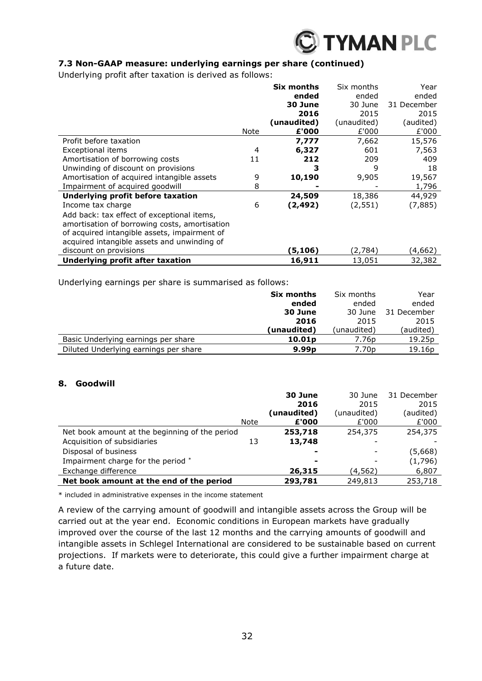

## **7.3 Non-GAAP measure: underlying earnings per share (continued)**

Underlying profit after taxation is derived as follows:

|                                                                                             |      | Six months  | Six months  | Year        |
|---------------------------------------------------------------------------------------------|------|-------------|-------------|-------------|
|                                                                                             |      | ended       | ended       | ended       |
|                                                                                             |      | 30 June     | 30 June     | 31 December |
|                                                                                             |      | 2016        | 2015        | 2015        |
|                                                                                             |      | (unaudited) | (unaudited) | (audited)   |
|                                                                                             | Note | £'000       | £'000       | £'000       |
| Profit before taxation                                                                      |      | 7,777       | 7,662       | 15,576      |
| Exceptional items                                                                           | 4    | 6,327       | 601         | 7,563       |
| Amortisation of borrowing costs                                                             | 11   | 212         | 209         | 409         |
| Unwinding of discount on provisions                                                         |      | з           | 9           | 18          |
| Amortisation of acquired intangible assets                                                  | 9    | 10,190      | 9,905       | 19,567      |
| Impairment of acquired goodwill                                                             | 8    |             |             | 1,796       |
| Underlying profit before taxation                                                           |      | 24,509      | 18,386      | 44,929      |
| Income tax charge                                                                           | 6    | (2, 492)    | (2, 551)    | (7,885)     |
| Add back: tax effect of exceptional items,<br>amortisation of borrowing costs, amortisation |      |             |             |             |
| of acquired intangible assets, impairment of                                                |      |             |             |             |
| acquired intangible assets and unwinding of                                                 |      |             |             |             |
| discount on provisions                                                                      |      | (5,106)     | (2,784)     | (4,662)     |
| <b>Underlying profit after taxation</b>                                                     |      | 16,911      | 13,051      | 32,382      |

Underlying earnings per share is summarised as follows:

|                                       | Six months         | Six months  | Year               |
|---------------------------------------|--------------------|-------------|--------------------|
|                                       | ended              | ended       | ended              |
|                                       | 30 June            | 30 June     | 31 December        |
|                                       | 2016               | 2015        | 2015               |
|                                       | (unaudited)        | (unaudited) | (audited)          |
| Basic Underlying earnings per share   | 10.01 <sub>p</sub> | 7.76p       | 19.25 <sub>p</sub> |
| Diluted Underlying earnings per share | 9.99 <sub>D</sub>  | 7.70p       | 19.16 <sub>p</sub> |

#### **8. Goodwill**

|                                                |      | 30 June     | 30 June     | 31 December |
|------------------------------------------------|------|-------------|-------------|-------------|
|                                                |      | 2016        | 2015        | 2015        |
|                                                |      | (unaudited) | (unaudited) | (audited)   |
|                                                | Note | £'000       | £'000       | £'000       |
| Net book amount at the beginning of the period |      | 253,718     | 254,375     | 254,375     |
| Acquisition of subsidiaries                    | 13   | 13,748      |             |             |
| Disposal of business                           |      | -           |             | (5,668)     |
| Impairment charge for the period *             |      | ۰           |             | (1,796)     |
| Exchange difference                            |      | 26,315      | (4,562)     | 6,807       |
| Net book amount at the end of the period       |      | 293,781     | 249,813     | 253,718     |

\* included in administrative expenses in the income statement

A review of the carrying amount of goodwill and intangible assets across the Group will be carried out at the year end. Economic conditions in European markets have gradually improved over the course of the last 12 months and the carrying amounts of goodwill and intangible assets in Schlegel International are considered to be sustainable based on current projections. If markets were to deteriorate, this could give a further impairment charge at a future date.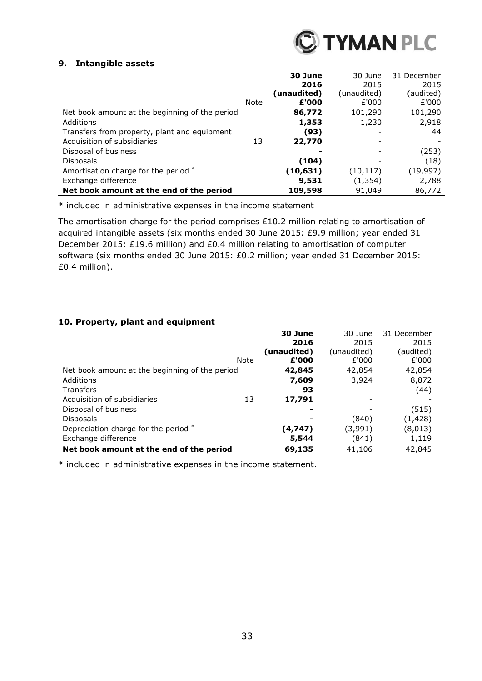

#### **9. Intangible assets**

|                                                |      | 30 June     | 30 June     | 31 December |
|------------------------------------------------|------|-------------|-------------|-------------|
|                                                |      | 2016        | 2015        | 2015        |
|                                                |      | (unaudited) | (unaudited) | (audited)   |
|                                                | Note | £'000       | £'000       | £'000       |
| Net book amount at the beginning of the period |      | 86,772      | 101,290     | 101,290     |
| Additions                                      |      | 1,353       | 1,230       | 2,918       |
| Transfers from property, plant and equipment   |      | (93)        |             | 44          |
| Acquisition of subsidiaries                    | 13   | 22,770      |             |             |
| Disposal of business                           |      |             |             | (253)       |
| <b>Disposals</b>                               |      | (104)       |             | (18)        |
| Amortisation charge for the period *           |      | (10, 631)   | (10, 117)   | (19,997)    |
| Exchange difference                            |      | 9,531       | (1,354)     | 2,788       |
| Net book amount at the end of the period       |      | 109,598     | 91,049      | 86,772      |

\* included in administrative expenses in the income statement

The amortisation charge for the period comprises £10.2 million relating to amortisation of acquired intangible assets (six months ended 30 June 2015: £9.9 million; year ended 31 December 2015: £19.6 million) and £0.4 million relating to amortisation of computer software (six months ended 30 June 2015: £0.2 million; year ended 31 December 2015: £0.4 million).

#### **10. Property, plant and equipment**

|                                                | 30 June     | 30 June     | 31 December |
|------------------------------------------------|-------------|-------------|-------------|
|                                                | 2016        | 2015        | 2015        |
|                                                | (unaudited) | (unaudited) | (audited)   |
| Note                                           | £'000       | £'000       | £'000       |
| Net book amount at the beginning of the period | 42,845      | 42,854      | 42,854      |
| Additions                                      | 7,609       | 3,924       | 8,872       |
| Transfers                                      | 93          |             | (44)        |
| Acquisition of subsidiaries<br>13              | 17,791      |             |             |
| Disposal of business                           |             |             | (515)       |
| <b>Disposals</b>                               |             | (840)       | (1, 428)    |
| Depreciation charge for the period *           | (4,747)     | (3,991)     | (8,013)     |
| Exchange difference                            | 5,544       | (841)       | 1,119       |
| Net book amount at the end of the period       | 69,135      | 41,106      | 42,845      |

\* included in administrative expenses in the income statement.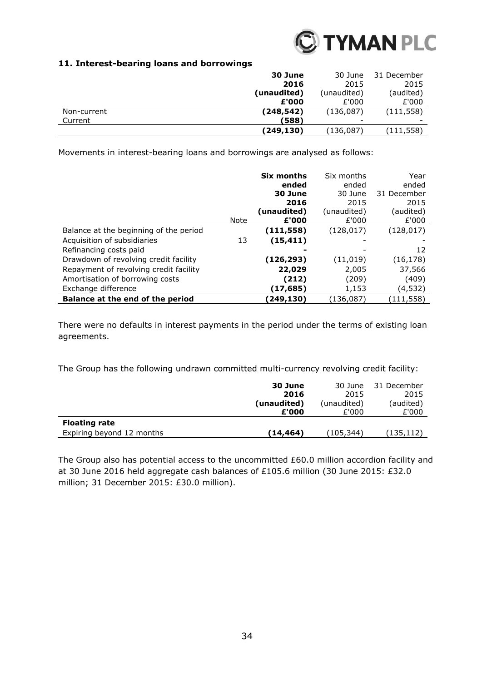

#### **11. Interest-bearing loans and borrowings**

|             | 30 June     | 30 June                  | 31 December            |
|-------------|-------------|--------------------------|------------------------|
|             | 2016        | 2015                     | 2015                   |
|             | (unaudited) | (unaudited)              | (audited)              |
|             | £'000       | £'000                    | £'000                  |
| Non-current | (248,542)   | (136,087)                | (111, 558)             |
| Current     | (588)       | $\overline{\phantom{0}}$ | -                      |
|             | (249,130)   | (136,087)                | $\left(111,558\right)$ |

Movements in interest-bearing loans and borrowings are analysed as follows:

|                                                                           |      | Six months<br>ended<br>30 June<br>2016 | Six months<br>ended<br>30 June<br>2015 | Year<br>ended<br>31 December<br>2015 |
|---------------------------------------------------------------------------|------|----------------------------------------|----------------------------------------|--------------------------------------|
|                                                                           | Note | (unaudited)<br>£'000                   | (unaudited)<br>£'000                   | (audited)<br>£'000                   |
| Balance at the beginning of the period<br>Acquisition of subsidiaries     | 13   | (111,558)<br>(15, 411)                 | (128, 017)                             | (128,017)                            |
| Refinancing costs paid<br>Drawdown of revolving credit facility           |      | (126,293)                              | (11, 019)                              | 12<br>(16, 178)                      |
| Repayment of revolving credit facility<br>Amortisation of borrowing costs |      | 22,029<br>(212)                        | 2,005<br>(209)                         | 37,566<br>(409)                      |
| Exchange difference<br>Balance at the end of the period                   |      | (17,685)<br>(249,130                   | 1,153<br>(136,087)                     | (4,532)<br>(111, 558)                |

There were no defaults in interest payments in the period under the terms of existing loan agreements.

The Group has the following undrawn committed multi-currency revolving credit facility:

|                           | 30 June     | 30 June     | 31 December |
|---------------------------|-------------|-------------|-------------|
|                           | 2016        | 2015        | 2015        |
|                           | (unaudited) | (unaudited) | (audited)   |
|                           | £'000       | £'000       | £'000       |
| <b>Floating rate</b>      |             |             |             |
| Expiring beyond 12 months | (14,464)    | (105,344)   | (135,112)   |

The Group also has potential access to the uncommitted £60.0 million accordion facility and at 30 June 2016 held aggregate cash balances of £105.6 million (30 June 2015: £32.0 million; 31 December 2015: £30.0 million).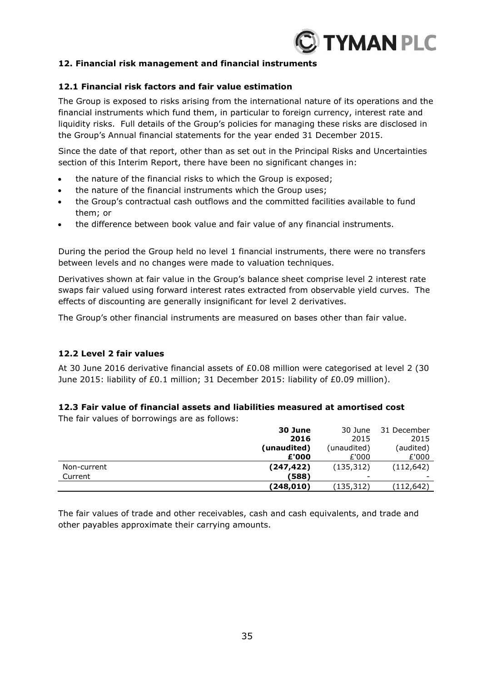

## **12. Financial risk management and financial instruments**

#### **12.1 Financial risk factors and fair value estimation**

The Group is exposed to risks arising from the international nature of its operations and the financial instruments which fund them, in particular to foreign currency, interest rate and liquidity risks. Full details of the Group's policies for managing these risks are disclosed in the Group's Annual financial statements for the year ended 31 December 2015.

Since the date of that report, other than as set out in the Principal Risks and Uncertainties section of this Interim Report, there have been no significant changes in:

- the nature of the financial risks to which the Group is exposed;
- the nature of the financial instruments which the Group uses;
- the Group's contractual cash outflows and the committed facilities available to fund them; or
- the difference between book value and fair value of any financial instruments.

During the period the Group held no level 1 financial instruments, there were no transfers between levels and no changes were made to valuation techniques.

Derivatives shown at fair value in the Group's balance sheet comprise level 2 interest rate swaps fair valued using forward interest rates extracted from observable yield curves. The effects of discounting are generally insignificant for level 2 derivatives.

The Group's other financial instruments are measured on bases other than fair value.

#### **12.2 Level 2 fair values**

At 30 June 2016 derivative financial assets of £0.08 million were categorised at level 2 (30 June 2015: liability of £0.1 million; 31 December 2015: liability of £0.09 million).

#### **12.3 Fair value of financial assets and liabilities measured at amortised cost**

The fair values of borrowings are as follows:

|             | 30 June     | 30 June                  | 31 December |
|-------------|-------------|--------------------------|-------------|
|             | 2016        | 2015                     | 2015        |
|             | (unaudited) | (unaudited)              | (audited)   |
|             | £'000       | £'000                    | £'000       |
| Non-current | (247, 422)  | (135, 312)               | (112, 642)  |
| Current     | (588)       | $\overline{\phantom{a}}$ | -           |
|             | (248,010)   | (135,312)                | (112,642)   |

The fair values of trade and other receivables, cash and cash equivalents, and trade and other payables approximate their carrying amounts.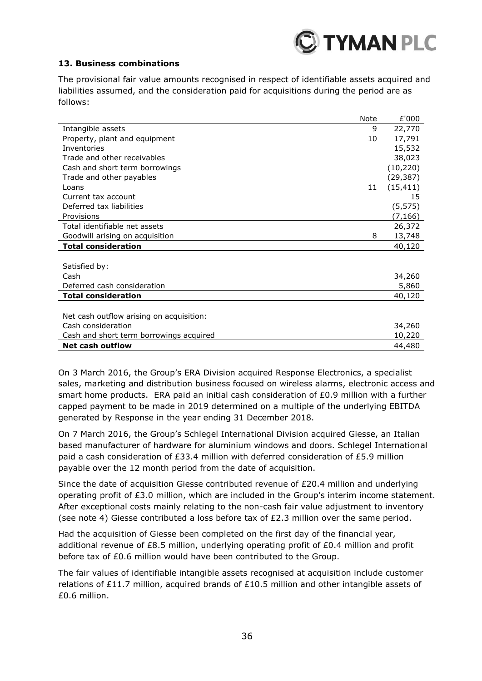

#### **13. Business combinations**

The provisional fair value amounts recognised in respect of identifiable assets acquired and liabilities assumed, and the consideration paid for acquisitions during the period are as follows:

|                                          | Note | £'000     |
|------------------------------------------|------|-----------|
| Intangible assets                        | 9    | 22,770    |
| Property, plant and equipment            | 10   | 17,791    |
| <b>Inventories</b>                       |      | 15,532    |
| Trade and other receivables              |      | 38,023    |
| Cash and short term borrowings           |      | (10, 220) |
| Trade and other payables                 |      | (29,387)  |
| Loans                                    | 11   | (15, 411) |
| Current tax account                      |      | 15        |
| Deferred tax liabilities                 |      | (5, 575)  |
| Provisions                               |      | (7, 166)  |
| Total identifiable net assets            |      | 26,372    |
| Goodwill arising on acquisition          | 8    | 13,748    |
| <b>Total consideration</b>               |      | 40,120    |
|                                          |      |           |
| Satisfied by:                            |      |           |
| Cash                                     |      | 34,260    |
| Deferred cash consideration              |      | 5,860     |
| <b>Total consideration</b>               |      | 40,120    |
|                                          |      |           |
| Net cash outflow arising on acquisition: |      |           |
| Cash consideration                       |      | 34,260    |
| Cash and short term borrowings acquired  |      | 10,220    |
| Net cash outflow                         |      | 44,480    |

On 3 March 2016, the Group's ERA Division acquired Response Electronics, a specialist sales, marketing and distribution business focused on wireless alarms, electronic access and smart home products. ERA paid an initial cash consideration of  $E0.9$  million with a further capped payment to be made in 2019 determined on a multiple of the underlying EBITDA generated by Response in the year ending 31 December 2018.

On 7 March 2016, the Group's Schlegel International Division acquired Giesse, an Italian based manufacturer of hardware for aluminium windows and doors. Schlegel International paid a cash consideration of £33.4 million with deferred consideration of £5.9 million payable over the 12 month period from the date of acquisition.

Since the date of acquisition Giesse contributed revenue of £20.4 million and underlying operating profit of £3.0 million, which are included in the Group's interim income statement. After exceptional costs mainly relating to the non-cash fair value adjustment to inventory (see note 4) Giesse contributed a loss before tax of  $E2.3$  million over the same period.

Had the acquisition of Giesse been completed on the first day of the financial year, additional revenue of £8.5 million, underlying operating profit of £0.4 million and profit before tax of £0.6 million would have been contributed to the Group.

The fair values of identifiable intangible assets recognised at acquisition include customer relations of £11.7 million, acquired brands of £10.5 million and other intangible assets of £0.6 million.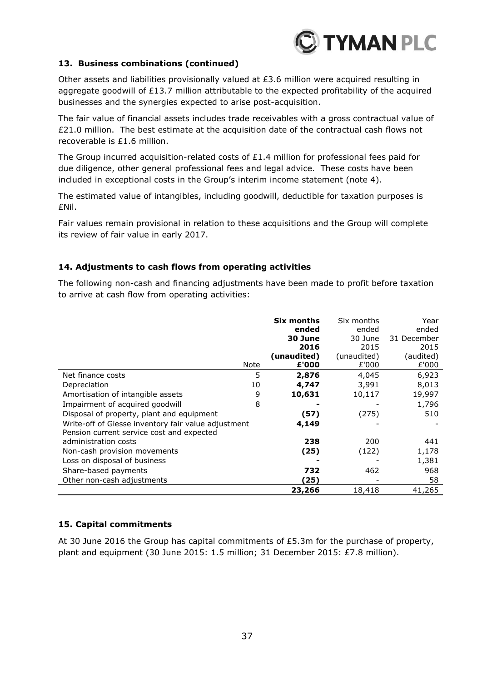

#### **13. Business combinations (continued)**

Other assets and liabilities provisionally valued at £3.6 million were acquired resulting in aggregate goodwill of £13.7 million attributable to the expected profitability of the acquired businesses and the synergies expected to arise post-acquisition.

The fair value of financial assets includes trade receivables with a gross contractual value of £21.0 million. The best estimate at the acquisition date of the contractual cash flows not recoverable is £1.6 million.

The Group incurred acquisition-related costs of £1.4 million for professional fees paid for due diligence, other general professional fees and legal advice. These costs have been included in exceptional costs in the Group's interim income statement (note 4).

The estimated value of intangibles, including goodwill, deductible for taxation purposes is £Nil.

Fair values remain provisional in relation to these acquisitions and the Group will complete its review of fair value in early 2017.

#### **14. Adjustments to cash flows from operating activities**

The following non-cash and financing adjustments have been made to profit before taxation to arrive at cash flow from operating activities:

|                                                                   |      | <b>Six months</b><br>ended<br>30 June<br>2016<br>(unaudited) | Six months<br>ended<br>30 June<br>2015<br>(unaudited) | Year<br>ended<br>31 December<br>2015<br>(audited) |
|-------------------------------------------------------------------|------|--------------------------------------------------------------|-------------------------------------------------------|---------------------------------------------------|
|                                                                   | Note | £'000                                                        | £'000                                                 | £'000                                             |
| Net finance costs                                                 | 5    | 2,876                                                        | 4,045                                                 | 6,923                                             |
| Depreciation                                                      | 10   | 4,747                                                        | 3,991                                                 | 8,013                                             |
| Amortisation of intangible assets                                 | 9    | 10,631                                                       | 10,117                                                | 19,997                                            |
| Impairment of acquired goodwill                                   | 8    |                                                              |                                                       | 1,796                                             |
| Disposal of property, plant and equipment                         |      | (57)                                                         | (275)                                                 | 510                                               |
| Write-off of Giesse inventory fair value adjustment               |      | 4,149                                                        |                                                       |                                                   |
| Pension current service cost and expected<br>administration costs |      | 238                                                          | 200                                                   | 441                                               |
| Non-cash provision movements                                      |      | (25)                                                         | (122)                                                 | 1,178                                             |
| Loss on disposal of business                                      |      |                                                              |                                                       | 1,381                                             |
| Share-based payments                                              |      | 732                                                          | 462                                                   | 968                                               |
| Other non-cash adjustments                                        |      | (25)                                                         |                                                       | 58                                                |
|                                                                   |      | 23,266                                                       | 18,418                                                | 41,265                                            |

# **15. Capital commitments**

At 30 June 2016 the Group has capital commitments of £5.3m for the purchase of property, plant and equipment (30 June 2015: 1.5 million; 31 December 2015: £7.8 million).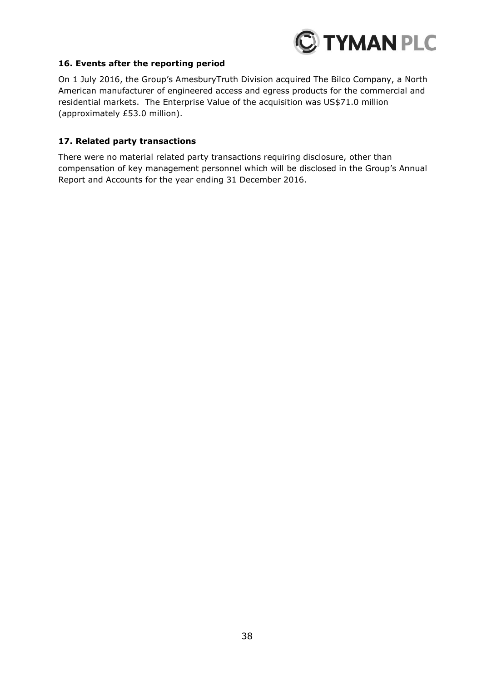

# **16. Events after the reporting period**

On 1 July 2016, the Group's AmesburyTruth Division acquired The Bilco Company, a North American manufacturer of engineered access and egress products for the commercial and residential markets. The Enterprise Value of the acquisition was US\$71.0 million (approximately £53.0 million).

# **17. Related party transactions**

There were no material related party transactions requiring disclosure, other than compensation of key management personnel which will be disclosed in the Group's Annual Report and Accounts for the year ending 31 December 2016.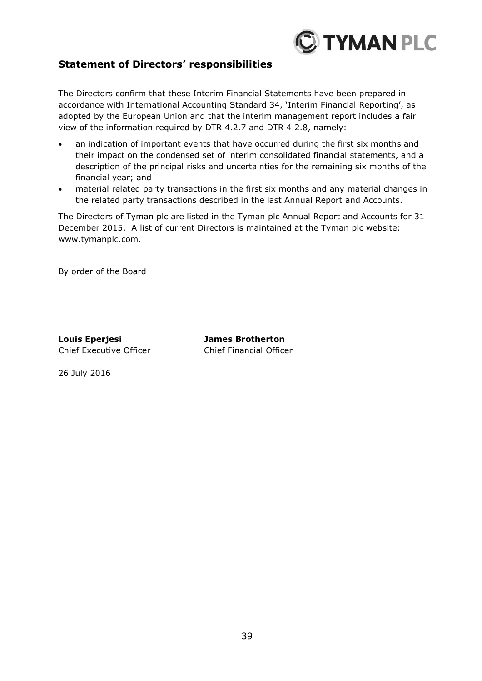

# **Statement of Directors' responsibilities**

The Directors confirm that these Interim Financial Statements have been prepared in accordance with International Accounting Standard 34, 'Interim Financial Reporting', as adopted by the European Union and that the interim management report includes a fair view of the information required by DTR 4.2.7 and DTR 4.2.8, namely:

- an indication of important events that have occurred during the first six months and their impact on the condensed set of interim consolidated financial statements, and a description of the principal risks and uncertainties for the remaining six months of the financial year; and
- material related party transactions in the first six months and any material changes in the related party transactions described in the last Annual Report and Accounts.

The Directors of Tyman plc are listed in the Tyman plc Annual Report and Accounts for 31 December 2015. A list of current Directors is maintained at the Tyman plc website: [www.tymanplc.com.](http://www.tymanplc.com/)

By order of the Board

**Louis Eperjesi James Brotherton** Chief Executive Officer Chief Financial Officer

26 July 2016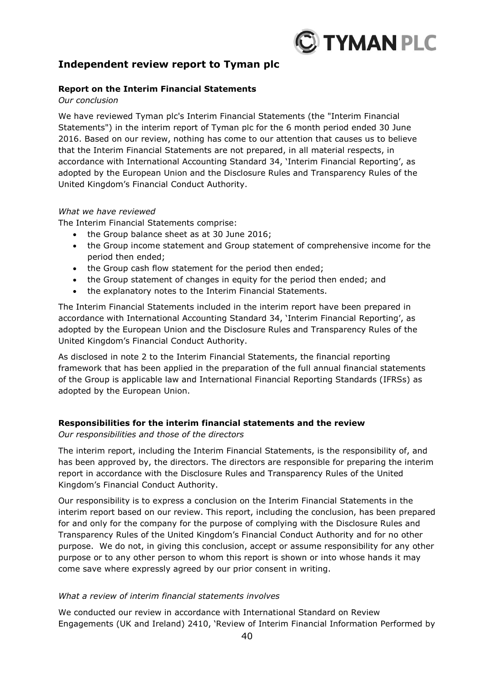

# **Independent review report to Tyman plc**

#### **Report on the Interim Financial Statements**

#### *Our conclusion*

We have reviewed Tyman plc's Interim Financial Statements (the "Interim Financial Statements") in the interim report of Tyman plc for the 6 month period ended 30 June 2016. Based on our review, nothing has come to our attention that causes us to believe that the Interim Financial Statements are not prepared, in all material respects, in accordance with International Accounting Standard 34, 'Interim Financial Reporting', as adopted by the European Union and the Disclosure Rules and Transparency Rules of the United Kingdom's Financial Conduct Authority.

#### *What we have reviewed*

The Interim Financial Statements comprise:

- the Group balance sheet as at 30 June 2016;
- the Group income statement and Group statement of comprehensive income for the period then ended;
- the Group cash flow statement for the period then ended;
- the Group statement of changes in equity for the period then ended; and
- the explanatory notes to the Interim Financial Statements.

The Interim Financial Statements included in the interim report have been prepared in accordance with International Accounting Standard 34, 'Interim Financial Reporting', as adopted by the European Union and the Disclosure Rules and Transparency Rules of the United Kingdom's Financial Conduct Authority.

As disclosed in note 2 to the Interim Financial Statements, the financial reporting framework that has been applied in the preparation of the full annual financial statements of the Group is applicable law and International Financial Reporting Standards (IFRSs) as adopted by the European Union.

#### **Responsibilities for the interim financial statements and the review**

*Our responsibilities and those of the directors*

The interim report, including the Interim Financial Statements, is the responsibility of, and has been approved by, the directors. The directors are responsible for preparing the interim report in accordance with the Disclosure Rules and Transparency Rules of the United Kingdom's Financial Conduct Authority.

Our responsibility is to express a conclusion on the Interim Financial Statements in the interim report based on our review. This report, including the conclusion, has been prepared for and only for the company for the purpose of complying with the Disclosure Rules and Transparency Rules of the United Kingdom's Financial Conduct Authority and for no other purpose. We do not, in giving this conclusion, accept or assume responsibility for any other purpose or to any other person to whom this report is shown or into whose hands it may come save where expressly agreed by our prior consent in writing.

#### *What a review of interim financial statements involves*

We conducted our review in accordance with International Standard on Review Engagements (UK and Ireland) 2410, 'Review of Interim Financial Information Performed by